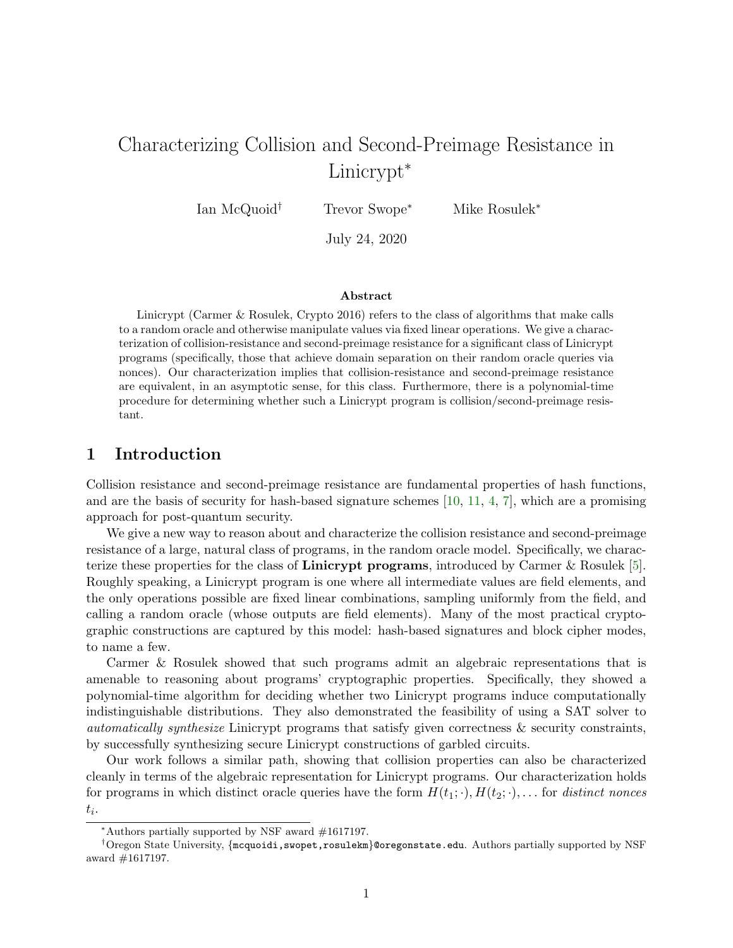# Characterizing Collision and Second-Preimage Resistance in Linicrypt<sup>∗</sup>

Ian McQuoid† Trevor Swope<sup>∗</sup> Mike Rosulek<sup>∗</sup>

July 24, 2020

#### Abstract

Linicrypt (Carmer & Rosulek, Crypto 2016) refers to the class of algorithms that make calls to a random oracle and otherwise manipulate values via fixed linear operations. We give a characterization of collision-resistance and second-preimage resistance for a significant class of Linicrypt programs (specifically, those that achieve domain separation on their random oracle queries via nonces). Our characterization implies that collision-resistance and second-preimage resistance are equivalent, in an asymptotic sense, for this class. Furthermore, there is a polynomial-time procedure for determining whether such a Linicrypt program is collision/second-preimage resistant.

## 1 Introduction

Collision resistance and second-preimage resistance are fundamental properties of hash functions, and are the basis of security for hash-based signature schemes  $[10, 11, 4, 7]$  $[10, 11, 4, 7]$  $[10, 11, 4, 7]$  $[10, 11, 4, 7]$  $[10, 11, 4, 7]$  $[10, 11, 4, 7]$  $[10, 11, 4, 7]$ , which are a promising approach for post-quantum security.

We give a new way to reason about and characterize the collision resistance and second-preimage resistance of a large, natural class of programs, in the random oracle model. Specifically, we characterize these properties for the class of Linicrypt programs, introduced by Carmer & Rosulek [\[5\]](#page-17-4). Roughly speaking, a Linicrypt program is one where all intermediate values are field elements, and the only operations possible are fixed linear combinations, sampling uniformly from the field, and calling a random oracle (whose outputs are field elements). Many of the most practical cryptographic constructions are captured by this model: hash-based signatures and block cipher modes, to name a few.

Carmer & Rosulek showed that such programs admit an algebraic representations that is amenable to reasoning about programs' cryptographic properties. Specifically, they showed a polynomial-time algorithm for deciding whether two Linicrypt programs induce computationally indistinguishable distributions. They also demonstrated the feasibility of using a SAT solver to automatically synthesize Linicrypt programs that satisfy given correctness & security constraints, by successfully synthesizing secure Linicrypt constructions of garbled circuits.

Our work follows a similar path, showing that collision properties can also be characterized cleanly in terms of the algebraic representation for Linicrypt programs. Our characterization holds for programs in which distinct oracle queries have the form  $H(t_1;\cdot), H(t_2;\cdot), \ldots$  for distinct nonces  $t_i$ .

<sup>∗</sup>Authors partially supported by NSF award #1617197.

<sup>†</sup>Oregon State University, {mcquoidi,swopet,rosulekm}@oregonstate.edu. Authors partially supported by NSF award #1617197.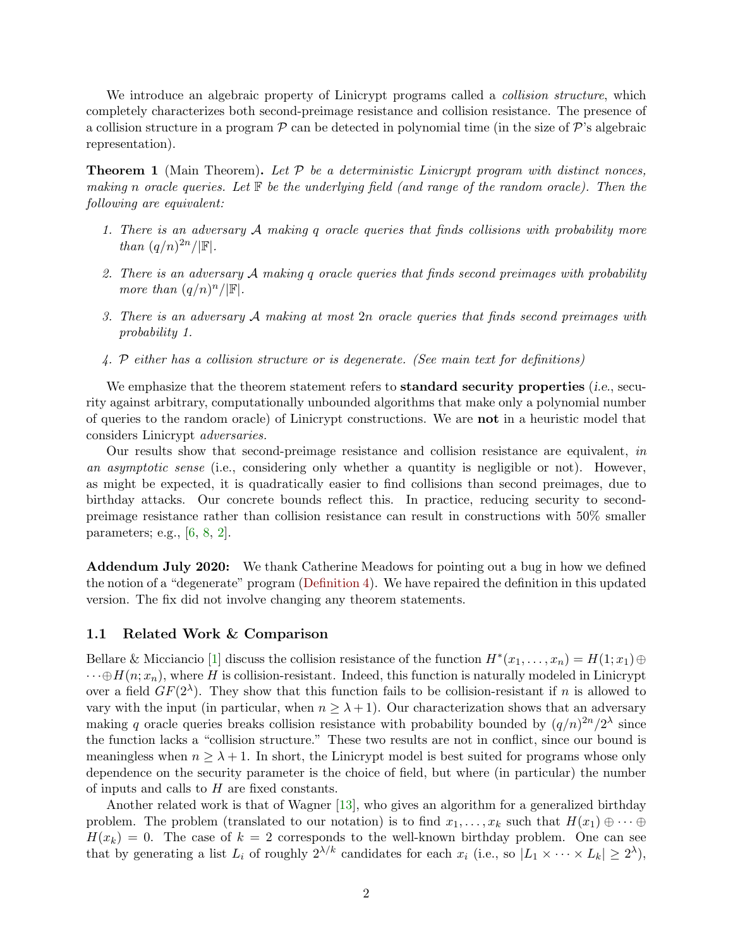We introduce an algebraic property of Linicrypt programs called a *collision structure*, which completely characterizes both second-preimage resistance and collision resistance. The presence of a collision structure in a program  $\mathcal P$  can be detected in polynomial time (in the size of  $\mathcal P$ 's algebraic representation).

**Theorem 1** (Main Theorem). Let  $P$  be a deterministic Linicrypt program with distinct nonces, making n oracle queries. Let  $\mathbb F$  be the underlying field (and range of the random oracle). Then the following are equivalent:

- 1. There is an adversary  $A$  making q oracle queries that finds collisions with probability more than  $(q/n)^{2n}/|\mathbb{F}|$ .
- 2. There is an adversary  $\mathcal A$  making q oracle queries that finds second preimages with probability more than  $(q/n)^n/|\mathbb{F}|$ .
- 3. There is an adversary  $A$  making at most  $2n$  oracle queries that finds second preimages with probability 1.
- 4. P either has a collision structure or is degenerate. (See main text for definitions)

We emphasize that the theorem statement refers to **standard security properties** (*i.e.*, security against arbitrary, computationally unbounded algorithms that make only a polynomial number of queries to the random oracle) of Linicrypt constructions. We are not in a heuristic model that considers Linicrypt adversaries.

Our results show that second-preimage resistance and collision resistance are equivalent, in an asymptotic sense (i.e., considering only whether a quantity is negligible or not). However, as might be expected, it is quadratically easier to find collisions than second preimages, due to birthday attacks. Our concrete bounds reflect this. In practice, reducing security to secondpreimage resistance rather than collision resistance can result in constructions with 50% smaller parameters; e.g., [\[6,](#page-17-5) [8,](#page-17-6) [2\]](#page-17-7).

Addendum July 2020: We thank Catherine Meadows for pointing out a bug in how we defined the notion of a "degenerate" program [\(Definition 4\)](#page-4-0). We have repaired the definition in this updated version. The fix did not involve changing any theorem statements.

#### 1.1 Related Work & Comparison

Bellare & Micciancio [\[1\]](#page-16-0) discuss the collision resistance of the function  $H^*(x_1,\ldots,x_n) = H(1;x_1) \oplus$  $\cdots \oplus H(n; x_n)$ , where H is collision-resistant. Indeed, this function is naturally modeled in Linicrypt over a field  $GF(2^{\lambda})$ . They show that this function fails to be collision-resistant if n is allowed to vary with the input (in particular, when  $n \geq \lambda + 1$ ). Our characterization shows that an adversary making q oracle queries breaks collision resistance with probability bounded by  $(q/n)^{2n}/2^{\lambda}$  since the function lacks a "collision structure." These two results are not in conflict, since our bound is meaningless when  $n \geq \lambda + 1$ . In short, the Linicrypt model is best suited for programs whose only dependence on the security parameter is the choice of field, but where (in particular) the number of inputs and calls to  $H$  are fixed constants.

Another related work is that of Wagner [\[13\]](#page-17-8), who gives an algorithm for a generalized birthday problem. The problem (translated to our notation) is to find  $x_1, \ldots, x_k$  such that  $H(x_1) \oplus \cdots \oplus$  $H(x_k) = 0$ . The case of  $k = 2$  corresponds to the well-known birthday problem. One can see that by generating a list  $L_i$  of roughly  $2^{\lambda/k}$  candidates for each  $x_i$  (i.e., so  $|L_1 \times \cdots \times L_k| \geq 2^{\lambda}$ ),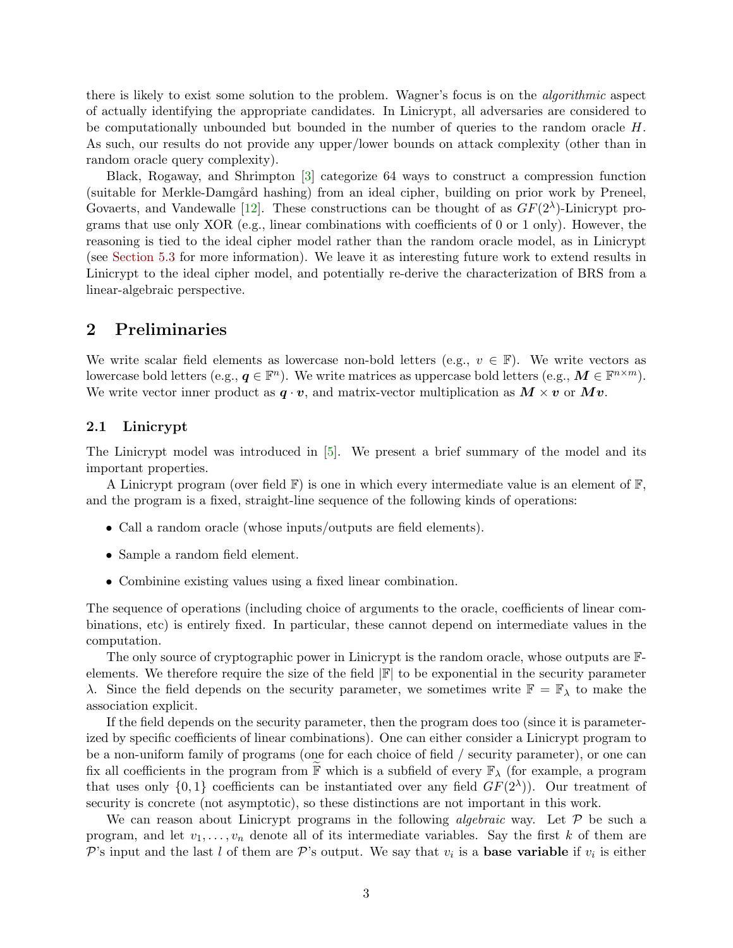there is likely to exist some solution to the problem. Wagner's focus is on the algorithmic aspect of actually identifying the appropriate candidates. In Linicrypt, all adversaries are considered to be computationally unbounded but bounded in the number of queries to the random oracle H. As such, our results do not provide any upper/lower bounds on attack complexity (other than in random oracle query complexity).

Black, Rogaway, and Shrimpton [\[3\]](#page-17-9) categorize 64 ways to construct a compression function (suitable for Merkle-Damgård hashing) from an ideal cipher, building on prior work by Preneel, Govaerts, and Vandewalle [\[12\]](#page-17-10). These constructions can be thought of as  $GF(2^{\lambda})$ -Linicrypt programs that use only XOR (e.g., linear combinations with coefficients of 0 or 1 only). However, the reasoning is tied to the ideal cipher model rather than the random oracle model, as in Linicrypt (see [Section 5.3](#page-16-1) for more information). We leave it as interesting future work to extend results in Linicrypt to the ideal cipher model, and potentially re-derive the characterization of BRS from a linear-algebraic perspective.

## 2 Preliminaries

We write scalar field elements as lowercase non-bold letters (e.g.,  $v \in \mathbb{F}$ ). We write vectors as lowercase bold letters (e.g.,  $q \in \mathbb{F}^n$ ). We write matrices as uppercase bold letters (e.g.,  $M \in \mathbb{F}^{n \times m}$ ). We write vector inner product as  $q \cdot v$ , and matrix-vector multiplication as  $M \times v$  or  $Mv$ .

#### <span id="page-2-0"></span>2.1 Linicrypt

The Linicrypt model was introduced in [\[5\]](#page-17-4). We present a brief summary of the model and its important properties.

A Linicrypt program (over field  $\mathbb{F}$ ) is one in which every intermediate value is an element of  $\mathbb{F}$ , and the program is a fixed, straight-line sequence of the following kinds of operations:

- Call a random oracle (whose inputs/outputs are field elements).
- Sample a random field element.
- Combinine existing values using a fixed linear combination.

The sequence of operations (including choice of arguments to the oracle, coefficients of linear combinations, etc) is entirely fixed. In particular, these cannot depend on intermediate values in the computation.

The only source of cryptographic power in Linicrypt is the random oracle, whose outputs are  $\mathbb{F}$ elements. We therefore require the size of the field  $\mathbb{F}$  to be exponential in the security parameter λ. Since the field depends on the security parameter, we sometimes write  $\mathbb{F} = \mathbb{F}_{\lambda}$  to make the association explicit.

If the field depends on the security parameter, then the program does too (since it is parameterized by specific coefficients of linear combinations). One can either consider a Linicrypt program to be a non-uniform family of programs (one for each choice of field / security parameter), or one can fix all coefficients in the program from  $\widetilde{\mathbb{F}}$  which is a subfield of every  $\mathbb{F}_{\lambda}$  (for example, a program that uses only  $\{0,1\}$  coefficients can be instantiated over any field  $GF(2^{\lambda})$ ). Our treatment of security is concrete (not asymptotic), so these distinctions are not important in this work.

We can reason about Linicrypt programs in the following *algebraic* way. Let  $P$  be such a program, and let  $v_1, \ldots, v_n$  denote all of its intermediate variables. Say the first k of them are P's input and the last l of them are P's output. We say that  $v_i$  is a **base variable** if  $v_i$  is either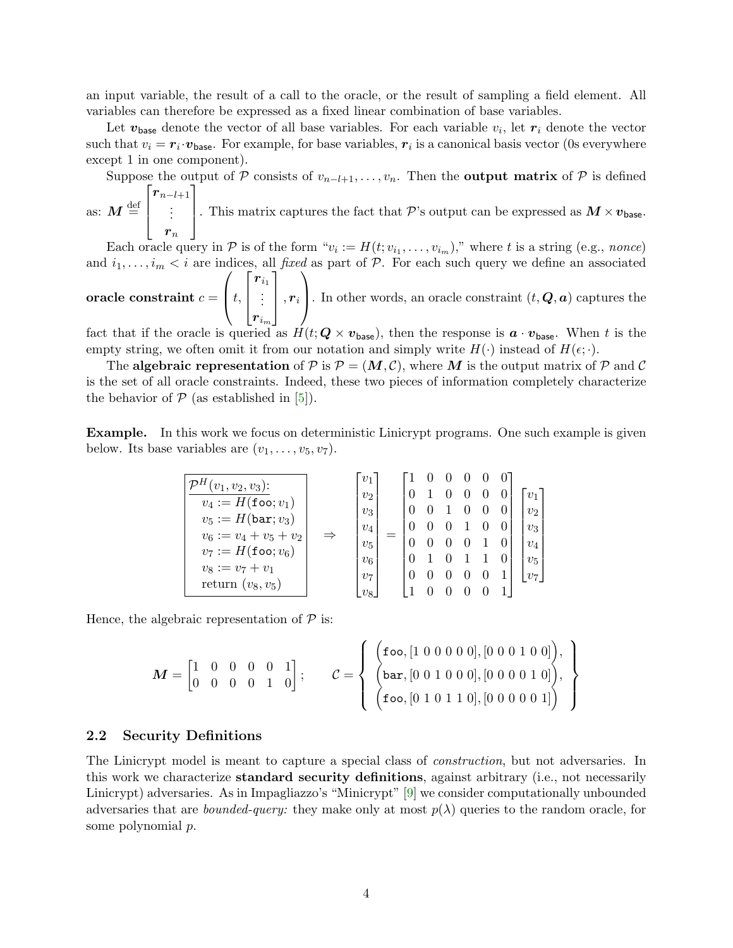an input variable, the result of a call to the oracle, or the result of sampling a field element. All variables can therefore be expressed as a fixed linear combination of base variables.

Let  $v_{\text{base}}$  denote the vector of all base variables. For each variable  $v_i$ , let  $r_i$  denote the vector such that  $v_i = r_i \cdot v_{base}$ . For example, for base variables,  $r_i$  is a canonical basis vector (0s everywhere except 1 in one component).

Suppose the output of P consists of  $v_{n-l+1}, \ldots, v_n$ . Then the **output matrix** of P is defined  $\sqrt{ }$  $r_{n-l+1}$ 1

as:  $M \stackrel{\text{def}}{=}$  $\vert$ . . .  $\bm{r}_n$ This matrix captures the fact that P's output can be expressed as  $M \times v_{\text{base}}$ .

Each oracle query in  $P$  is of the form " $v_i := H(t; v_{i_1}, \ldots, v_{i_m})$ ," where t is a string (e.g., nonce) and  $i_1, \ldots, i_m < i$  are indices, all fixed as part of P. For each such query we define an associated  $\bm{or}$ acle constraint  $c =$  $\sqrt{ }$  $\vert t,$  $\sqrt{ }$  $\overline{\phantom{a}}$  $\bm{r}_{i_1}$ . . . 1  $\bigg|\, , r_i$  $\setminus$ . In other words, an oracle constraint  $(t, \mathbf{Q}, \mathbf{a})$  captures the

 $\bm{r}_{i_m}$ fact that if the oracle is queried as  $H(t; \mathbf{Q} \times v_{\text{base}})$ , then the response is  $\mathbf{a} \cdot v_{\text{base}}$ . When t is the empty string, we often omit it from our notation and simply write  $H(\cdot)$  instead of  $H(\epsilon;\cdot)$ .

The algebraic representation of P is  $P = (M, C)$ , where M is the output matrix of P and C is the set of all oracle constraints. Indeed, these two pieces of information completely characterize the behavior of  $P$  (as established in [\[5\]](#page-17-4)).

Example. In this work we focus on deterministic Linicrypt programs. One such example is given below. Its base variables are  $(v_1, \ldots, v_5, v_7)$ .

$$
\begin{bmatrix}\n\mathcal{P}^H(v_1, v_2, v_3): \\
v_4 := H(\mathbf{f} \circ \mathbf{o}; v_1) \\
v_5 := H(\mathbf{bar}; v_3) \\
v_6 := v_4 + v_5 + v_2 \\
v_7 := H(\mathbf{f} \circ \mathbf{o}; v_6) \\
v_8 := v_7 + v_1 \\
\text{return } (v_8, v_5)\n\end{bmatrix}\n\Rightarrow\n\begin{bmatrix}\nv_1 \\
v_2 \\
v_3 \\
v_4 \\
v_5 \\
v_6 \\
v_7 \\
v_8\n\end{bmatrix}\n=\n\begin{bmatrix}\n1 & 0 & 0 & 0 & 0 & 0 \\
0 & 1 & 0 & 0 & 0 & 0 \\
0 & 0 & 1 & 0 & 0 & 0 \\
0 & 0 & 0 & 1 & 0 & 0 \\
0 & 0 & 0 & 0 & 1 & 0 \\
0 & 1 & 0 & 1 & 1 & 0 \\
0 & 0 & 0 & 0 & 0 & 1 \\
0 & 0 & 0 & 0 & 0 & 1 \\
1 & 0 & 0 & 0 & 0 & 1\n\end{bmatrix}\n\begin{bmatrix}\nv_1 \\
v_2 \\
v_3 \\
v_4 \\
v_5 \\
v_6 \\
1 & 0 & 0 & 0 & 1\n\end{bmatrix}
$$

Hence, the algebraic representation of  $P$  is:

$$
\boldsymbol{M} = \begin{bmatrix} 1 & 0 & 0 & 0 & 0 & 1 \\ 0 & 0 & 0 & 0 & 1 & 0 \end{bmatrix}; \qquad \mathcal{C} = \left\{ \begin{array}{l} \Big( \texttt{foo}, \begin{bmatrix} 1 & 0 & 0 & 0 & 0 & 0 \end{bmatrix}, \begin{bmatrix} 0 & 0 & 0 & 1 & 0 & 0 \end{bmatrix} \Big), \\ \Big( \texttt{bar}, \begin{bmatrix} 0 & 0 & 1 & 0 & 0 \end{bmatrix}, \begin{bmatrix} 0 & 0 & 0 & 0 & 1 & 0 \end{bmatrix} \Big), \\ \Big( \texttt{foo}, \begin{bmatrix} 0 & 1 & 0 & 1 & 1 & 0 \end{bmatrix}, \begin{bmatrix} 0 & 0 & 0 & 0 & 0 & 1 \end{bmatrix} \Big) \end{array} \right\}
$$

#### 2.2 Security Definitions

The Linicrypt model is meant to capture a special class of construction, but not adversaries. In this work we characterize standard security definitions, against arbitrary (i.e., not necessarily Linicrypt) adversaries. As in Impagliazzo's "Minicrypt" [\[9\]](#page-17-11) we consider computationally unbounded adversaries that are *bounded-query:* they make only at most  $p(\lambda)$  queries to the random oracle, for some polynomial p.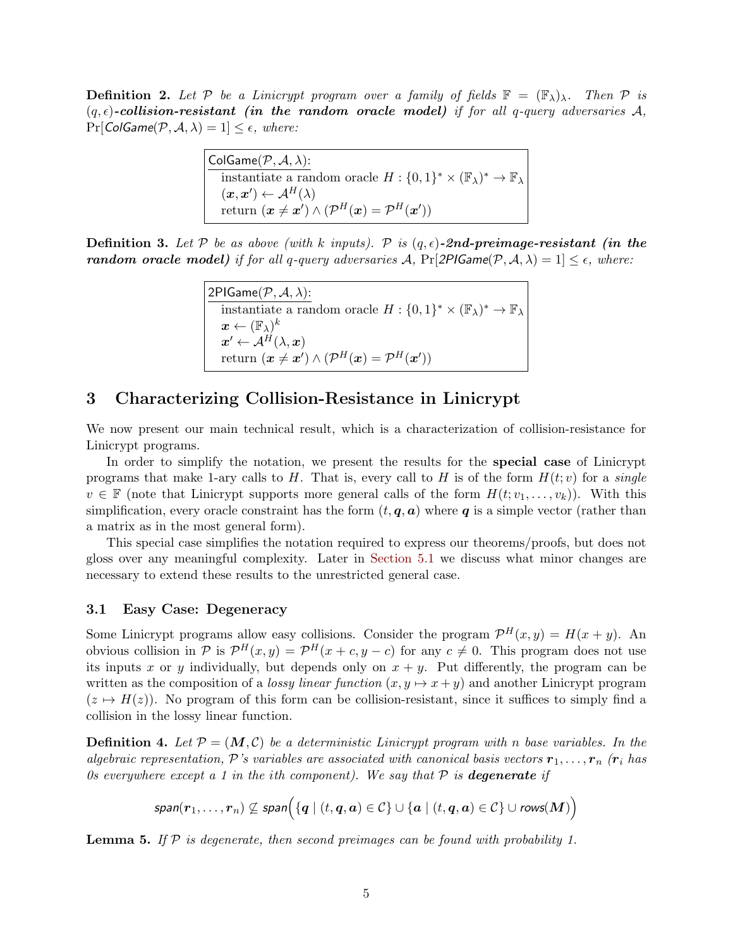**Definition 2.** Let P be a Linicrypt program over a family of fields  $\mathbb{F} = (\mathbb{F}_{\lambda})_{\lambda}$ . Then P is  $(q, \epsilon)$ -collision-resistant (in the random oracle model) if for all q-query adversaries A,  $Pr[ColGame(\mathcal{P}, \mathcal{A}, \lambda) = 1] \leq \epsilon$ , where:

| $ $ ColGame $(\mathcal{P}, \mathcal{A}, \lambda)$ :                                                                    |
|------------------------------------------------------------------------------------------------------------------------|
| instantiate a random oracle $H: \{0,1\}^* \times (\mathbb{F}_{\lambda})^* \to \mathbb{F}_{\lambda}$                    |
| $(\boldsymbol{x}, \boldsymbol{x}') \leftarrow \mathcal{A}^H(\lambda)$                                                  |
| return $(\boldsymbol{x} \neq \boldsymbol{x}') \wedge (\mathcal{P}^H(\boldsymbol{x}) = \mathcal{P}^H(\boldsymbol{x}'))$ |

**Definition 3.** Let P be as above (with k inputs). P is  $(q, \epsilon)$ -2nd-preimage-resistant (in the **random oracle model)** if for all q-query adversaries A,  $Pr[2PIGame(\mathcal{P}, \mathcal{A}, \lambda) = 1] \leq \epsilon$ , where:

> 2PIGame $(\mathcal{P}, \mathcal{A}, \lambda)$ : instantiate a random oracle  $H: \{0,1\}^* \times (\mathbb{F}_{\lambda})^* \to \mathbb{F}_{\lambda}$  $\boldsymbol{x} \leftarrow (\mathbb{F}_{\lambda})^k$  $\boldsymbol{x}' \leftarrow \mathcal{A}^H(\lambda, \boldsymbol{x})$ return  $(\boldsymbol{x} \neq \boldsymbol{x}') \wedge (\mathcal{P}^H(\boldsymbol{x}) = \mathcal{P}^H(\boldsymbol{x}'))$

# <span id="page-4-1"></span>3 Characterizing Collision-Resistance in Linicrypt

We now present our main technical result, which is a characterization of collision-resistance for Linicrypt programs.

In order to simplify the notation, we present the results for the special case of Linicrypt programs that make 1-ary calls to H. That is, every call to H is of the form  $H(t; v)$  for a single  $v \in \mathbb{F}$  (note that Linicrypt supports more general calls of the form  $H(t; v_1, \ldots, v_k)$ ). With this simplification, every oracle constraint has the form  $(t, q, a)$  where q is a simple vector (rather than a matrix as in the most general form).

This special case simplifies the notation required to express our theorems/proofs, but does not gloss over any meaningful complexity. Later in [Section 5.1](#page-15-0) we discuss what minor changes are necessary to extend these results to the unrestricted general case.

#### 3.1 Easy Case: Degeneracy

Some Linicrypt programs allow easy collisions. Consider the program  $\mathcal{P}^H(x,y) = H(x+y)$ . An obvious collision in P is  $\mathcal{P}^H(x,y) = \mathcal{P}^H(x+c, y-c)$  for any  $c \neq 0$ . This program does not use its inputs x or y individually, but depends only on  $x + y$ . Put differently, the program can be written as the composition of a lossy linear function  $(x, y \mapsto x + y)$  and another Linicrypt program  $(z \mapsto H(z))$ . No program of this form can be collision-resistant, since it suffices to simply find a collision in the lossy linear function.

<span id="page-4-0"></span>**Definition 4.** Let  $\mathcal{P} = (\mathbf{M}, \mathcal{C})$  be a deterministic Linicrypt program with n base variables. In the algebraic representation, P's variables are associated with canonical basis vectors  $r_1, \ldots, r_n$  ( $r_i$  has 0s everywhere except a 1 in the ith component). We say that  $P$  is **degenerate** if

$$
\mathit{span}(r_1,\ldots,r_n) \not\subseteq \mathit{span}\Big(\{q \mid (t,q,a) \in \mathcal{C}\} \cup \{a \mid (t,q,a) \in \mathcal{C}\} \cup \mathit{rows}(M)\Big)
$$

**Lemma 5.** If  $P$  is degenerate, then second preimages can be found with probability 1.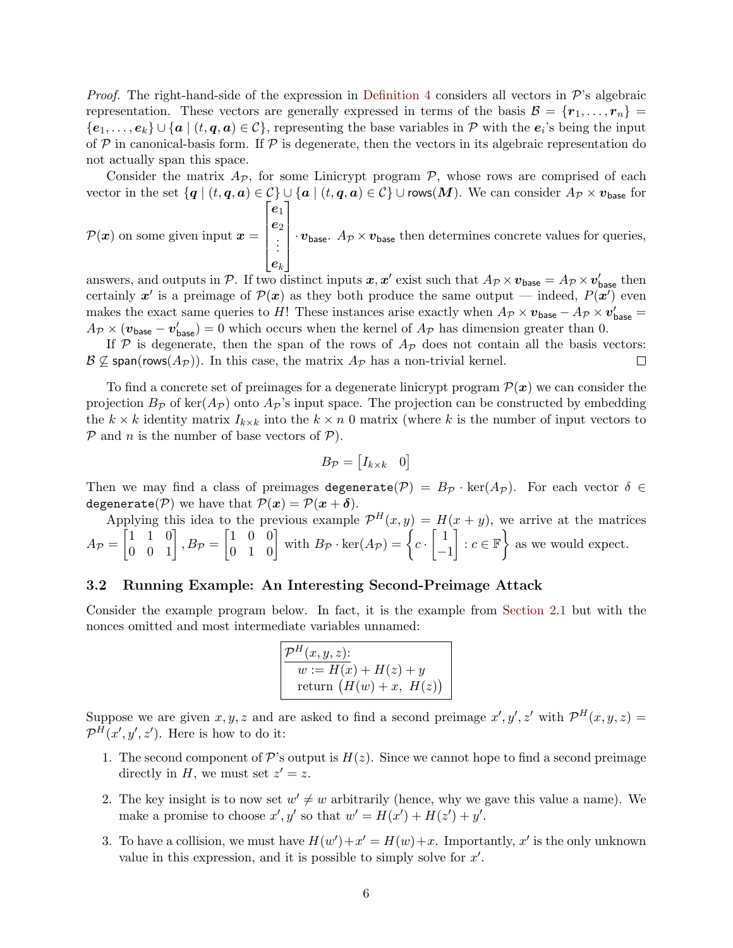*Proof.* The right-hand-side of the expression in [Definition 4](#page-4-0) considers all vectors in  $\mathcal{P}'$ 's algebraic representation. These vectors are generally expressed in terms of the basis  $\mathcal{B} = \{r_1, \ldots, r_n\}$  $\{e_1,\ldots,e_k\}\cup\{\mathbf{a}\mid (t,\mathbf{q},\mathbf{a})\in\mathcal{C}\},\$ representing the base variables in  $\mathcal P$  with the  $e_i$ 's being the input of  $P$  in canonical-basis form. If  $P$  is degenerate, then the vectors in its algebraic representation do not actually span this space.

Consider the matrix  $A_{\mathcal{P}}$ , for some Linicrypt program  $\mathcal{P}$ , whose rows are comprised of each vector in the set  $\{q \mid (t, q, a) \in C\} \cup \{a \mid (t, q, a) \in C\} \cup \text{rows}(M)$ . We can consider  $A_{\mathcal{P}} \times v_{\text{base}}$  for  $\sqrt{ }$  $e_1$ 1

 $\mathcal{P}(\boldsymbol{x})$  on some given input  $\boldsymbol{x} =$  $\begin{array}{|c|c|} \hline \quad \quad & \quad \quad & \quad \quad \\ \hline \quad \quad & \quad \quad & \quad \quad \\ \hline \quad \quad & \quad \quad & \quad \quad \\ \hline \end{array}$  $e_2$ . . .  $\boldsymbol{e}_k$   $\cdot v_{\text{base}}$ .  $A_{\mathcal{P}} \times v_{\text{base}}$  then determines concrete values for queries,

answers, and outputs in  $P$ . If two distinct inputs  $x, x'$  exist such that  $A_P \times v_{base} = A_P \times v'_{base}$  then  $\alpha$  exist such that  $A_{\alpha} \times \alpha_1 = A_{\alpha} \times \alpha_1$ certainly x' is a preimage of  $\mathcal{P}(x)$  as they both produce the same output — indeed,  $P(x')$  even makes the exact same queries to H! These instances arise exactly when  $A_{\mathcal{P}} \times v_{\text{base}} - A_{\mathcal{P}} \times v_{\text{base}}' =$  $A_{\mathcal{P}} \times (\boldsymbol{v}_{\text{base}} - \boldsymbol{v}_{\text{base}}') = 0$  which occurs when the kernel of  $A_{\mathcal{P}}$  has dimension greater than 0.

If P is degenerate, then the span of the rows of  $A_{\mathcal{P}}$  does not contain all the basis vectors:  $\mathcal{B} \not\subseteq$  span(rows( $A_{\mathcal{P}}$ )). In this case, the matrix  $A_{\mathcal{P}}$  has a non-trivial kernel.  $\Box$ 

To find a concrete set of preimages for a degenerate linicrypt program  $\mathcal{P}(x)$  we can consider the projection  $B_{\mathcal{P}}$  of ker( $A_{\mathcal{P}}$ ) onto  $A_{\mathcal{P}}$ 's input space. The projection can be constructed by embedding the  $k \times k$  identity matrix  $I_{k\times k}$  into the  $k \times n$  0 matrix (where k is the number of input vectors to  $P$  and n is the number of base vectors of  $P$ ).

$$
B_{\mathcal{P}} = \begin{bmatrix} I_{k \times k} & 0 \end{bmatrix}
$$

Then we may find a class of preimages degenerate( $\mathcal{P}$ ) =  $B_{\mathcal{P}} \cdot \text{ker}(A_{\mathcal{P}})$ . For each vector  $\delta \in$ degenerate(P) we have that  $P(x) = P(x + \delta)$ .

Applying this idea to the previous example  $\mathcal{P}^H(x,y) = H(x+y)$ , we arrive at the matrices  $A_{\mathcal{P}} = \begin{bmatrix} 1 & 1 & 0 \ 0 & 0 & 1 \end{bmatrix}, B_{\mathcal{P}} = \begin{bmatrix} 1 & 0 & 0 \ 0 & 1 & 0 \end{bmatrix}$  with  $B_{\mathcal{P}} \cdot \ker(A_{\mathcal{P}}) = \left\{c \cdot \begin{bmatrix} 1 & 0 & 0 \ -1 & 0 & 0 \end{bmatrix}\right\}$ −1  $\bigg]$ :  $c \in \mathbb{F}$  as we would expect.

### 3.2 Running Example: An Interesting Second-Preimage Attack

Consider the example program below. In fact, it is the example from [Section 2.1](#page-2-0) but with the nonces omitted and most intermediate variables unnamed:

$$
\frac{\mathcal{P}^{H}(x, y, z):}{w := H(x) + H(z) + y}
$$
  
return  $(H(w) + x, H(z))$ 

Suppose we are given  $x, y, z$  and are asked to find a second preimage  $x', y', z'$  with  $\mathcal{P}^H(x, y, z) =$  $\mathcal{P}^{H}(x',y',z')$ . Here is how to do it:

- 1. The second component of P's output is  $H(z)$ . Since we cannot hope to find a second preimage directly in H, we must set  $z' = z$ .
- 2. The key insight is to now set  $w' \neq w$  arbitrarily (hence, why we gave this value a name). We make a promise to choose  $x', y'$  so that  $w' = H(x') + H(z') + y'$ .
- 3. To have a collision, we must have  $H(w') + x' = H(w) + x$ . Importantly, x' is the only unknown value in this expression, and it is possible to simply solve for  $x'$ .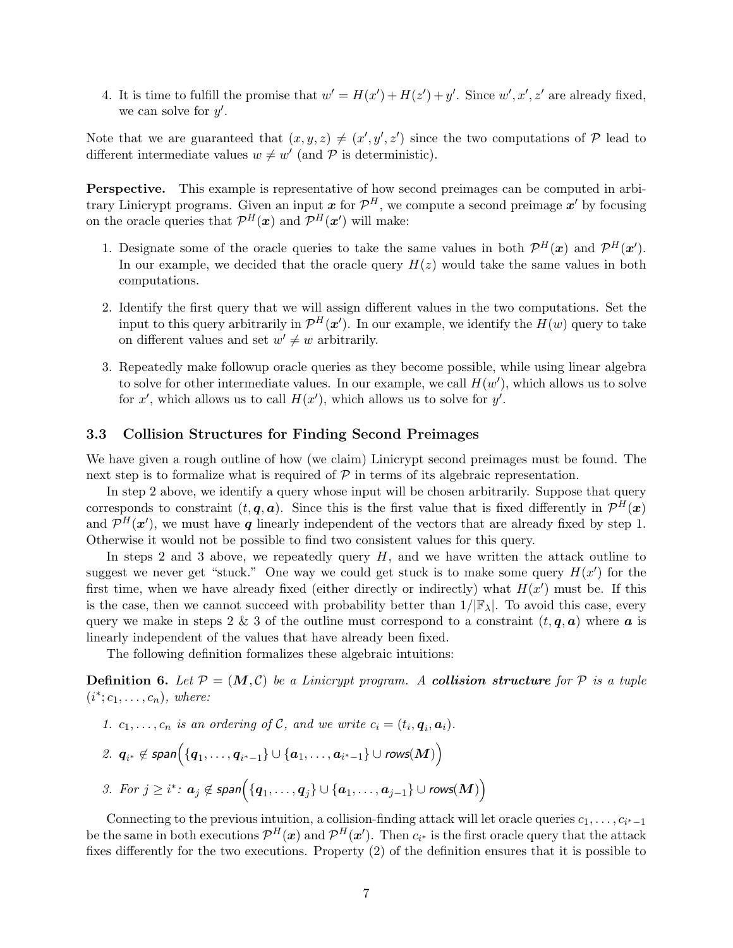4. It is time to fulfill the promise that  $w' = H(x') + H(z') + y'$ . Since  $w', x', z'$  are already fixed, we can solve for  $y'$ .

Note that we are guaranteed that  $(x, y, z) \neq (x', y', z')$  since the two computations of P lead to different intermediate values  $w \neq w'$  (and P is deterministic).

Perspective. This example is representative of how second preimages can be computed in arbitrary Linicrypt programs. Given an input  $x$  for  $\mathcal{P}^H$ , we compute a second preimage  $x'$  by focusing on the oracle queries that  $\mathcal{P}^H(\bm{x})$  and  $\mathcal{P}^H(\bm{x}')$  will make:

- 1. Designate some of the oracle queries to take the same values in both  $\mathcal{P}^H(x)$  and  $\mathcal{P}^H(x')$ . In our example, we decided that the oracle query  $H(z)$  would take the same values in both computations.
- 2. Identify the first query that we will assign different values in the two computations. Set the input to this query arbitrarily in  $\mathcal{P}^{H}(\boldsymbol{x}')$ . In our example, we identify the  $H(w)$  query to take on different values and set  $w' \neq w$  arbitrarily.
- 3. Repeatedly make followup oracle queries as they become possible, while using linear algebra to solve for other intermediate values. In our example, we call  $H(w')$ , which allows us to solve for x', which allows us to call  $H(x')$ , which allows us to solve for y'.

#### 3.3 Collision Structures for Finding Second Preimages

We have given a rough outline of how (we claim) Linicrypt second preimages must be found. The next step is to formalize what is required of  $P$  in terms of its algebraic representation.

In step 2 above, we identify a query whose input will be chosen arbitrarily. Suppose that query corresponds to constraint  $(t, q, a)$ . Since this is the first value that is fixed differently in  $\mathcal{P}^H(x)$ and  $\mathcal{P}^{H}(\boldsymbol{x}')$ , we must have q linearly independent of the vectors that are already fixed by step 1. Otherwise it would not be possible to find two consistent values for this query.

In steps 2 and 3 above, we repeatedly query  $H$ , and we have written the attack outline to suggest we never get "stuck." One way we could get stuck is to make some query  $H(x')$  for the first time, when we have already fixed (either directly or indirectly) what  $H(x')$  must be. If this is the case, then we cannot succeed with probability better than  $1/|\mathbb{F}_{\lambda}|$ . To avoid this case, every query we make in steps 2 & 3 of the outline must correspond to a constraint  $(t, \mathbf{q}, \mathbf{a})$  where  $\mathbf{a}$  is linearly independent of the values that have already been fixed.

The following definition formalizes these algebraic intuitions:

<span id="page-6-0"></span>**Definition 6.** Let  $\mathcal{P} = (\mathbf{M}, \mathcal{C})$  be a Linicrypt program. A **collision structure** for  $\mathcal{P}$  is a tuple  $(i^*; c_1, \ldots, c_n)$ , where:

1.  $c_1, \ldots, c_n$  is an ordering of C, and we write  $c_i = (t_i, \mathbf{q}_i, \mathbf{a}_i)$ .

$$
\text{2. } \textit{\textbf{q}}_{i^*} \not\in \textit{span}\Big(\{\textit{\textbf{q}}_1, \ldots, \textit{\textbf{q}}_{i^*-1}\} \cup \{\textit{\textbf{a}}_1, \ldots, \textit{\textbf{a}}_{i^*-1}\} \cup \textit{rows}(\textit{\textbf{M}})\Big)
$$

 $\beta.$  For  $j\geq i^{*}\colon a_{j}\not\in {\sf span}\Big(\{\bm{q}_{1},\ldots,\bm{q}_{j}\}\cup\{\bm{a}_{1},\ldots,\bm{a}_{j-1}\}\cup{\sf rows}( \bm{M})\Big)$ 

Connecting to the previous intuition, a collision-finding attack will let oracle queries  $c_1, \ldots, c_{i^*-1}$ be the same in both executions  $\mathcal{P}^H(\bm{x})$  and  $\mathcal{P}^H(\bm{x}')$ . Then  $c_{i^*}$  is the first oracle query that the attack fixes differently for the two executions. Property (2) of the definition ensures that it is possible to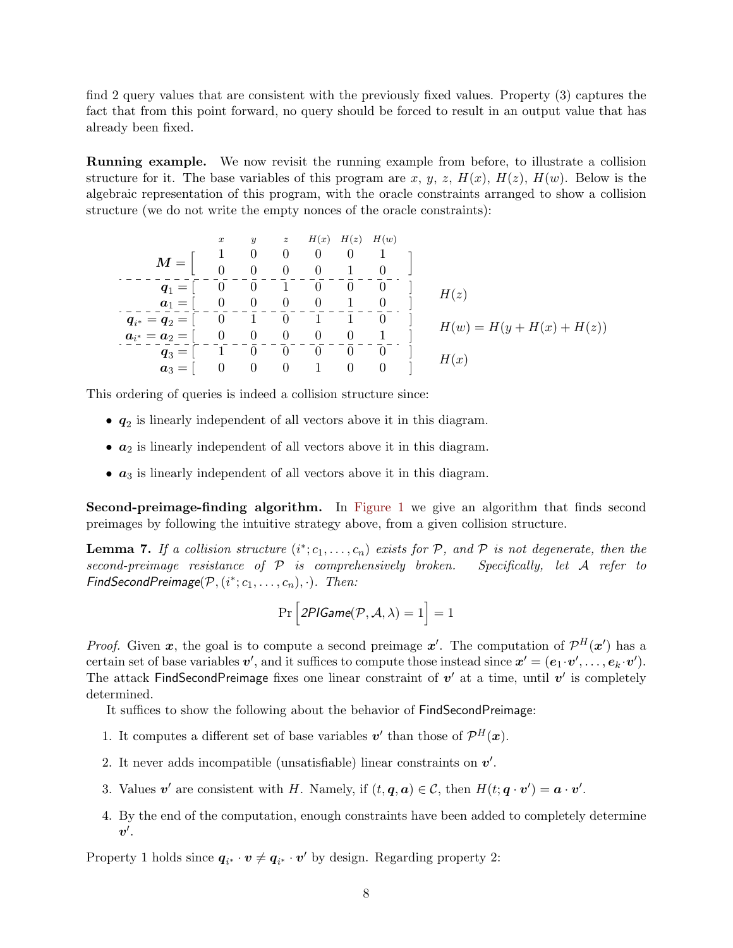find 2 query values that are consistent with the previously fixed values. Property (3) captures the fact that from this point forward, no query should be forced to result in an output value that has already been fixed.

Running example. We now revisit the running example from before, to illustrate a collision structure for it. The base variables of this program are x, y, z,  $H(x)$ ,  $H(z)$ ,  $H(w)$ . Below is the algebraic representation of this program, with the oracle constraints arranged to show a collision structure (we do not write the empty nonces of the oracle constraints):

$$
M = \begin{bmatrix} x & y & z & H(x) & H(z) & H(w) \\ 1 & 0 & 0 & 0 & 0 & 1 \\ 0 & 0 & 0 & 0 & 1 & 0 \\ \hline q_1 = \begin{bmatrix} -5 & -0 & 0 & 0 & 0 & 0 \\ 0 & 0 & 0 & 1 & 0 & 0 \\ 0 & 0 & 0 & 1 & 0 & 0 \\ \end{bmatrix} & H(z) \n-\frac{a_1}{a_*} = \frac{a_1}{a_2} = \begin{bmatrix} 0 & 0 & 0 & 0 & 0 & 1 \\ -5 & 0 & 0 & 0 & 0 & 0 & 0 \\ 0 & 0 & 0 & 0 & 0 & 0 & 0 \\ \end{bmatrix} & H(z) \n-\frac{a_1}{a_*} = \frac{a_2}{a_2} = \begin{bmatrix} 0 & 0 & 0 & 0 & 0 & 0 & 1 \\ -5 & 0 & 0 & 0 & 0 & 0 & 0 \\ 0 & 0 & 0 & 0 & 1 & 0 & 0 \\ \end{bmatrix} & H(w) = H(y + H(x) + H(z)) \na_3 = \begin{bmatrix} 0 & 0 & 0 & 0 & 1 & 0 & 0 \\ 0 & 0 & 0 & 0 & 1 & 0 & 0 \\ 0 & 0 & 0 & 0 & 0 & 0 & 0 \\ \end{bmatrix}
$$

This ordering of queries is indeed a collision structure since:

- $q_2$  is linearly independent of all vectors above it in this diagram.
- $\bullet$   $a_2$  is linearly independent of all vectors above it in this diagram.
- $\bullet$   $a_3$  is linearly independent of all vectors above it in this diagram.

Second-preimage-finding algorithm. In [Figure 1](#page-8-0) we give an algorithm that finds second preimages by following the intuitive strategy above, from a given collision structure.

**Lemma 7.** If a collision structure  $(i^*; c_1, \ldots, c_n)$  exists for P, and P is not degenerate, then the second-preimage resistance of  $P$  is comprehensively broken. Specifically, let  $A$  refer to FindSecondPreimage $(\mathcal{P}, (i^*; c_1, \ldots, c_n), \cdot)$ . Then:

$$
\Pr\Big[2\textit{PIGame}(\mathcal{P}, \mathcal{A}, \lambda) = 1\Big] = 1
$$

*Proof.* Given x, the goal is to compute a second preimage x'. The computation of  $\mathcal{P}^H(x')$  has a certain set of base variables  $v'$ , and it suffices to compute those instead since  $x' = (e_1 \cdot v', \ldots, e_k \cdot v')$ . The attack FindSecondPreimage fixes one linear constraint of  $v'$  at a time, until  $v'$  is completely determined.

It suffices to show the following about the behavior of FindSecondPreimage:

- 1. It computes a different set of base variables  $v'$  than those of  $\mathcal{P}^H(x)$ .
- 2. It never adds incompatible (unsatisfiable) linear constraints on  $v'$ .
- 3. Values  $v'$  are consistent with H. Namely, if  $(t, q, a) \in \mathcal{C}$ , then  $H(t; q \cdot v') = a \cdot v'$ .
- 4. By the end of the computation, enough constraints have been added to completely determine  $v'.$

Property 1 holds since  $q_{i^*} \cdot v \neq q_{i^*} \cdot v'$  by design. Regarding property 2: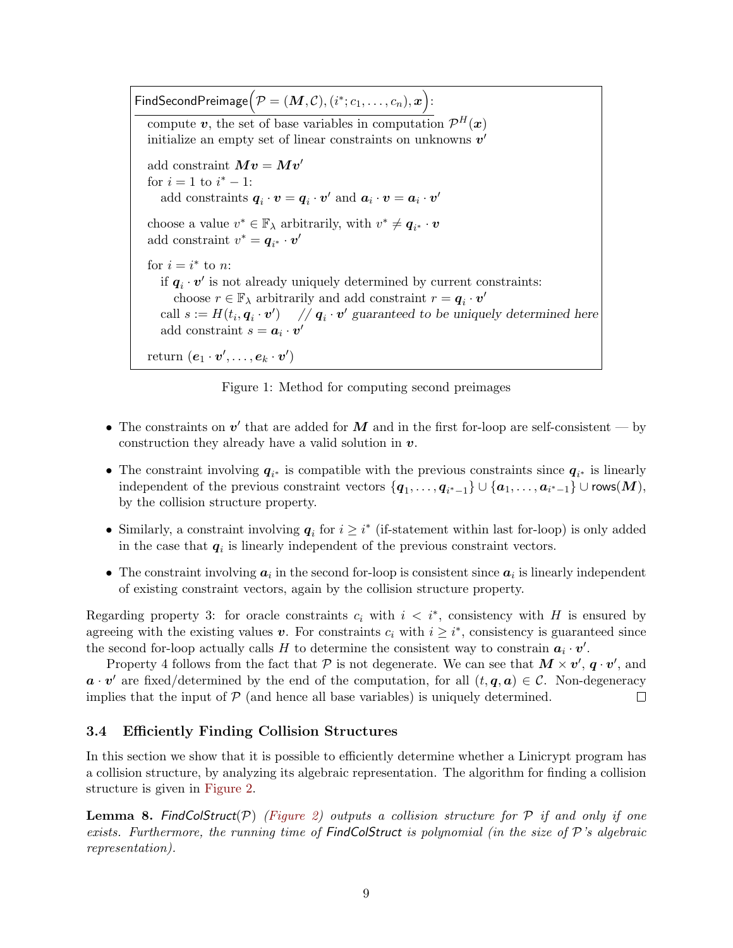$\mathsf{FindSecondPreimage}\Big(\mathcal{P}=(\bm{M},\mathcal{C}), (i^*; c_1,\ldots,c_n), \bm{x}\Big)$  : compute v, the set of base variables in computation  $\mathcal{P}^H(\boldsymbol{x})$ initialize an empty set of linear constraints on unknowns  $v'$ add constraint  $M v = M v'$ for  $i = 1$  to  $i^* - 1$ : add constraints  $q_i \cdot v = q_i \cdot v'$  and  $a_i \cdot v = a_i \cdot v'$ choose a value  $v^* \in \mathbb{F}_{\lambda}$  arbitrarily, with  $v^* \neq q_{i^*} \cdot v$ add constraint  $v^* = \boldsymbol{q}_{i^*} \cdot \boldsymbol{v}'$ for  $i = i^*$  to n: if  $q_i \cdot v'$  is not already uniquely determined by current constraints: choose  $r \in \mathbb{F}_{\lambda}$  arbitrarily and add constraint  $r = \boldsymbol{q}_i \cdot \boldsymbol{v}'$ call  $s := H(t_i, \mathbf{q}_i \cdot \mathbf{v}')$  // $\mathbf{q}_i \cdot \mathbf{v}'$  guaranteed to be uniquely determined here add constraint  $s = a_i \cdot v'$  $\text{return }(\bm{e}_1 \cdot \bm{v}', \ldots, \bm{e}_k \cdot \bm{v}')$ 

<span id="page-8-0"></span>Figure 1: Method for computing second preimages

- The constraints on  $v'$  that are added for M and in the first for-loop are self-consistent by construction they already have a valid solution in  $v$ .
- The constraint involving  $q_{i^*}$  is compatible with the previous constraints since  $q_{i^*}$  is linearly independent of the previous constraint vectors  $\{\bm q_1,\ldots,\bm q_{i^*-1}\}\cup\{\bm a_1,\ldots,\bm a_{i^*-1}\}\cup$  rows $(\bm M),$ by the collision structure property.
- Similarly, a constraint involving  $q_i$  for  $i \geq i^*$  (if-statement within last for-loop) is only added in the case that  $q_i$  is linearly independent of the previous constraint vectors.
- The constraint involving  $a_i$  in the second for-loop is consistent since  $a_i$  is linearly independent of existing constraint vectors, again by the collision structure property.

Regarding property 3: for oracle constraints  $c_i$  with  $i < i^*$ , consistency with H is ensured by agreeing with the existing values v. For constraints  $c_i$  with  $i \geq i^*$ , consistency is guaranteed since the second for-loop actually calls H to determine the consistent way to constrain  $a_i \cdot v'$ .

Property 4 follows from the fact that  $P$  is not degenerate. We can see that  $M \times v'$ ,  $q \cdot v'$ , and  $a \cdot v'$  are fixed/determined by the end of the computation, for all  $(t, q, a) \in \mathcal{C}$ . Non-degeneracy implies that the input of  $P$  (and hence all base variables) is uniquely determined.  $\Box$ 

#### 3.4 Efficiently Finding Collision Structures

In this section we show that it is possible to efficiently determine whether a Linicrypt program has a collision structure, by analyzing its algebraic representation. The algorithm for finding a collision structure is given in [Figure 2.](#page-9-0)

**Lemma 8.** FindColStruct(P) [\(Figure 2\)](#page-9-0) outputs a collision structure for P if and only if one exists. Furthermore, the running time of  $\mathsf{FindColStruct}$  is polynomial (in the size of  $\mathcal P$ 's algebraic representation).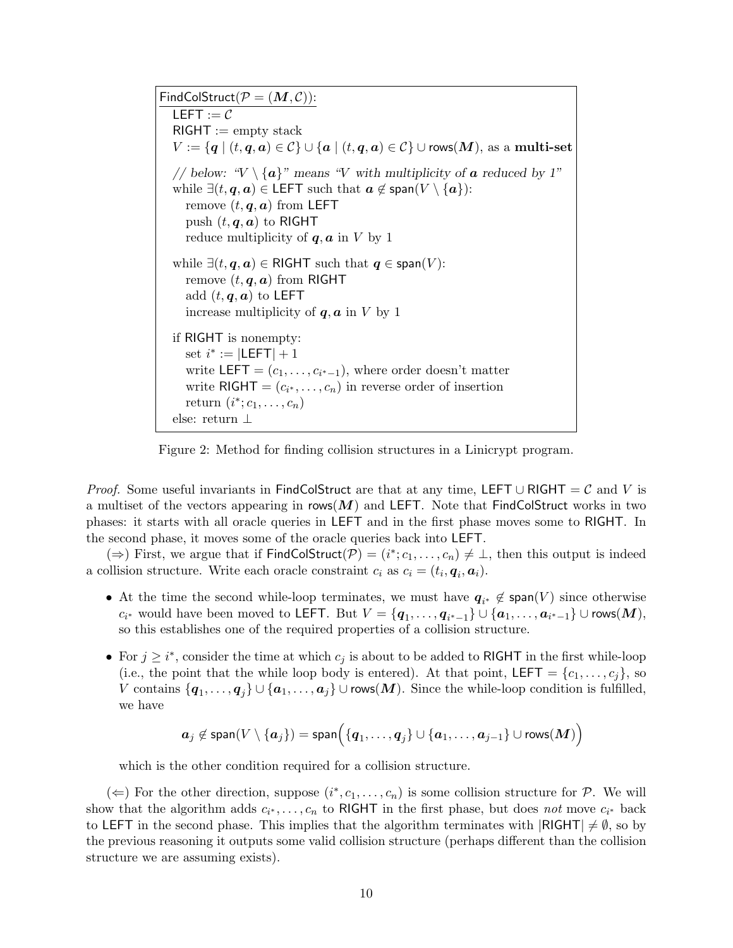FindColStruct $(\mathcal{P} = (\boldsymbol{M}, \mathcal{C}))$ : LEFT  $:=$   $\mathcal{C}$  $RIGHT := empty stack$  $V := \{q \mid (t, q, a) \in C\} \cup \{a \mid (t, q, a) \in C\} \cup \text{rows}(M)$ , as a multi-set // below: " $V \setminus \{a\}$ " means "V with multiplicity of a reduced by 1" while  $\exists (t, q, a) \in \mathsf{LEFT}$  such that  $a \notin \mathsf{span}(V \setminus \{a\})$ : remove  $(t, q, a)$  from LEFT push  $(t, q, a)$  to RIGHT reduce multiplicity of  $q, a$  in V by 1 while  $\exists (t, q, a) \in \mathsf{RIGHT}$  such that  $q \in \mathsf{span}(V)$ : remove  $(t, q, a)$  from RIGHT add  $(t, q, a)$  to LEFT increase multiplicity of  $q, a$  in V by 1 if RIGHT is nonempty: set  $i^* := |LEFT| + 1$ write LEFT =  $(c_1, \ldots, c_{i^*-1})$ , where order doesn't matter write  $\mathsf{RIGHT} = (c_{i^*}, \ldots, c_n)$  in reverse order of insertion return  $(i^*; c_1, \ldots, c_n)$ else: return ⊥

<span id="page-9-0"></span>Figure 2: Method for finding collision structures in a Linicrypt program.

*Proof.* Some useful invariants in FindColStruct are that at any time, LEFT ∪ RIGHT =  $\mathcal{C}$  and V is a multiset of the vectors appearing in  $rows(M)$  and LEFT. Note that FindColStruct works in two phases: it starts with all oracle queries in LEFT and in the first phase moves some to RIGHT. In the second phase, it moves some of the oracle queries back into LEFT.

 $(\Rightarrow)$  First, we argue that if FindColStruct $(\mathcal{P}) = (i^*; c_1, \ldots, c_n) \neq \bot$ , then this output is indeed a collision structure. Write each oracle constraint  $c_i$  as  $c_i = (t_i, \boldsymbol{q}_i, \boldsymbol{a}_i)$ .

- At the time the second while-loop terminates, we must have  $q_{i^*} \notin \text{span}(V)$  since otherwise  $c_{i^*}$  would have been moved to <code>LEFT</code>. But  $V = \{\bm q_1, \ldots, \bm q_{i^*-1}\} \cup \{\bm a_1, \ldots, \bm a_{i^*-1}\} \cup \mathsf{rows}( \bm M),$ so this establishes one of the required properties of a collision structure.
- For  $j \geq i^*$ , consider the time at which  $c_j$  is about to be added to RIGHT in the first while-loop (i.e., the point that the while loop body is entered). At that point, LEFT =  $\{c_1, \ldots, c_i\}$ , so V contains  $\{q_1,\ldots,q_j\}\cup\{a_1,\ldots,a_j\}\cup\mathsf{rows}(M)$ . Since the while-loop condition is fulfilled, we have

$$
\boldsymbol{a}_j \not\in \mathsf{span}(V \setminus \{\boldsymbol{a}_j\}) = \mathsf{span}\Big(\{\boldsymbol{q}_1,\ldots,\boldsymbol{q}_j\} \cup \{\boldsymbol{a}_1,\ldots,\boldsymbol{a}_{j-1}\} \cup \mathsf{rows}(\boldsymbol{M})\Big)
$$

which is the other condition required for a collision structure.

(←) For the other direction, suppose  $(i^*, c_1, \ldots, c_n)$  is some collision structure for P. We will show that the algorithm adds  $c_{i^*}, \ldots, c_n$  to RIGHT in the first phase, but does not move  $c_{i^*}$  back to LEFT in the second phase. This implies that the algorithm terminates with  $|RIGHT| \neq \emptyset$ , so by the previous reasoning it outputs some valid collision structure (perhaps different than the collision structure we are assuming exists).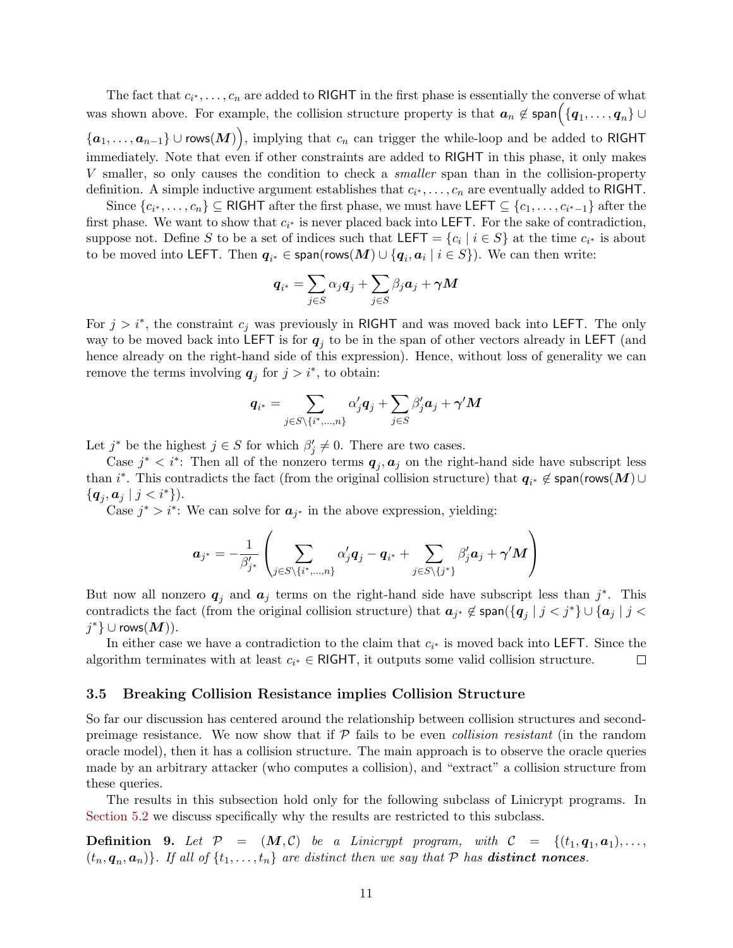The fact that  $c_{i^*}, \ldots, c_n$  are added to RIGHT in the first phase is essentially the converse of what was shown above. For example, the collision structure property is that  $a_n \notin \text{span}(\{q_1, \ldots, q_n\} \cup$ 

 $\{a_1,\ldots,a_{n-1}\}\cup \text{rows}(M)\big)$ , implying that  $c_n$  can trigger the while-loop and be added to RIGHT immediately. Note that even if other constraints are added to RIGHT in this phase, it only makes V smaller, so only causes the condition to check a smaller span than in the collision-property definition. A simple inductive argument establishes that  $c_i^*, \ldots, c_n$  are eventually added to RIGHT.

Since  $\{c_{i^*},\ldots,c_n\}\subseteq \textsf{RIGHT}$  after the first phase, we must have LEFT  $\subseteq \{c_1,\ldots,c_{i^*-1}\}$  after the first phase. We want to show that  $c_{i^*}$  is never placed back into LEFT. For the sake of contradiction, suppose not. Define S to be a set of indices such that  $\mathsf{LEFT} = \{c_i \mid i \in S\}$  at the time  $c_{i^*}$  is about to be moved into <code>LEFT.</code> Then  $\bm{q}_{i^*} \in \mathsf{span}(\mathsf{rows}( \bm{M} ) \cup \{ \bm{q}_i, \bm{a}_i \mid i \in S \} ).$  We can then write:

$$
\boldsymbol{q}_{i^*} = \sum_{j \in S} \alpha_j \boldsymbol{q}_j + \sum_{j \in S} \beta_j \boldsymbol{a}_j + \boldsymbol{\gamma M}
$$

For  $j > i^*$ , the constraint  $c_j$  was previously in RIGHT and was moved back into LEFT. The only way to be moved back into LEFT is for  $q_j$  to be in the span of other vectors already in LEFT (and hence already on the right-hand side of this expression). Hence, without loss of generality we can remove the terms involving  $q_j$  for  $j > i^*$ , to obtain:

$$
\boldsymbol{q}_{i^*} = \sum_{j \in S\setminus \{i^*,...,n\}} \alpha_j' \boldsymbol{q}_j + \sum_{j \in S} \beta_j' \boldsymbol{a}_j + \boldsymbol{\gamma}' \boldsymbol{M}
$$

Let  $j^*$  be the highest  $j \in S$  for which  $\beta'_j \neq 0$ . There are two cases.

Case  $j^* < i^*$ : Then all of the nonzero terms  $q_j, a_j$  on the right-hand side have subscript less than  $i^*$ . This contradicts the fact (from the original collision structure) that  $q_{i^*} \notin \text{span}(\text{rows}(M) \cup$  ${q_j, a_j | j < i^*}.$ 

Case  $j^* > i^*$ : We can solve for  $a_{j^*}$  in the above expression, yielding:

$$
\boldsymbol{a}_{j^*} = -\frac{1}{\beta'_{j^*}} \left( \sum_{j \in S \setminus \{i^*, \dots, n\}} \alpha'_j \boldsymbol{q}_j - \boldsymbol{q}_{i^*} + \sum_{j \in S \setminus \{j^*\}} \beta'_j \boldsymbol{a}_j + \boldsymbol{\gamma}' \boldsymbol{M} \right)
$$

But now all nonzero  $q_j$  and  $a_j$  terms on the right-hand side have subscript less than  $j^*$ . This contradicts the fact (from the original collision structure) that  $a_{j^*} \notin \text{span}(\{q_j \mid j < j^*\} \cup \{a_j \mid j < j\})$  $j^*\}\cup \mathrm{rows}(M)).$ 

In either case we have a contradiction to the claim that  $c_{i^*}$  is moved back into LEFT. Since the algorithm terminates with at least  $c_{i^*} \in \text{RIGHT}$ , it outputs some valid collision structure.  $\Box$ 

#### 3.5 Breaking Collision Resistance implies Collision Structure

So far our discussion has centered around the relationship between collision structures and secondpreimage resistance. We now show that if  $P$  fails to be even *collision resistant* (in the random oracle model), then it has a collision structure. The main approach is to observe the oracle queries made by an arbitrary attacker (who computes a collision), and "extract" a collision structure from these queries.

The results in this subsection hold only for the following subclass of Linicrypt programs. In [Section 5.2](#page-15-1) we discuss specifically why the results are restricted to this subclass.

**Definition 9.** Let  $\mathcal{P} = (M, \mathcal{C})$  be a Linicrypt program, with  $\mathcal{C} = \{(t_1, q_1, a_1), \ldots,$  $(t_n, \boldsymbol{q}_n, \boldsymbol{a}_n)$ . If all of  $\{t_1, \ldots, t_n\}$  are distinct then we say that  $P$  has **distinct nonces**.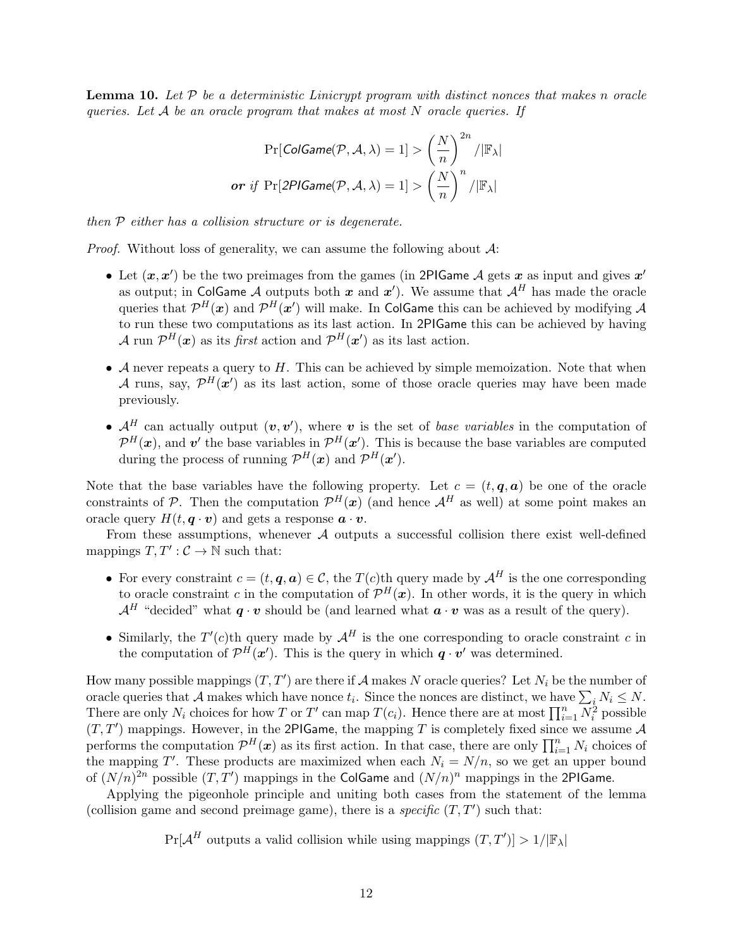**Lemma 10.** Let  $P$  be a deterministic Linicrypt program with distinct nonces that makes n oracle queries. Let  $A$  be an oracle program that makes at most  $N$  oracle queries. If

$$
\Pr[\text{ColGame}(\mathcal{P}, \mathcal{A}, \lambda) = 1] > \left(\frac{N}{n}\right)^{2n} / |\mathbb{F}_{\lambda}|
$$
\nor if

\n
$$
\Pr[\text{2PIGame}(\mathcal{P}, \mathcal{A}, \lambda) = 1] > \left(\frac{N}{n}\right)^n / |\mathbb{F}_{\lambda}|
$$

then P either has a collision structure or is degenerate.

*Proof.* Without loss of generality, we can assume the following about  $\mathcal{A}$ :

- Let  $(x, x')$  be the two preimages from the games (in 2PIGame A gets x as input and gives  $x'$ as output; in ColGame A outputs both  $x$  and  $x'$ ). We assume that  $\mathcal{A}^H$  has made the oracle queries that  $\mathcal{P}^{H}(\bm{x})$  and  $\mathcal{P}^{H}(\bm{x}')$  will make. In ColGame this can be achieved by modifying A to run these two computations as its last action. In 2PIGame this can be achieved by having A run  $\mathcal{P}^{H}(\boldsymbol{x})$  as its first action and  $\mathcal{P}^{H}(\boldsymbol{x}')$  as its last action.
- A never repeats a query to  $H$ . This can be achieved by simple memoization. Note that when A runs, say,  $\mathcal{P}^{H}(x')$  as its last action, some of those oracle queries may have been made previously.
- $\mathcal{A}^H$  can actually output  $(v, v')$ , where v is the set of base variables in the computation of  $\mathcal{P}^H(\bm{x})$ , and  $\bm{v}'$  the base variables in  $\mathcal{P}^H(\bm{x}')$ . This is because the base variables are computed during the process of running  $\mathcal{P}^H(\bm{x})$  and  $\mathcal{P}^H(\bm{x}')$ .

Note that the base variables have the following property. Let  $c = (t, q, a)$  be one of the oracle constraints of P. Then the computation  $\mathcal{P}^H(x)$  (and hence  $\mathcal{A}^H$  as well) at some point makes an oracle query  $H(t, \mathbf{q} \cdot \mathbf{v})$  and gets a response  $\mathbf{a} \cdot \mathbf{v}$ .

From these assumptions, whenever  $A$  outputs a successful collision there exist well-defined mappings  $T, T': \mathcal{C} \to \mathbb{N}$  such that:

- For every constraint  $c = (t, q, a) \in \mathcal{C}$ , the  $T(c)$ th query made by  $\mathcal{A}^H$  is the one corresponding to oracle constraint c in the computation of  $\mathcal{P}^H(\boldsymbol{x})$ . In other words, it is the query in which  $\mathcal{A}^H$  "decided" what  $\boldsymbol{q} \cdot \boldsymbol{v}$  should be (and learned what  $\boldsymbol{a} \cdot \boldsymbol{v}$  was as a result of the query).
- Similarly, the  $T'(c)$ th query made by  $\mathcal{A}^H$  is the one corresponding to oracle constraint c in the computation of  $\mathcal{P}^{H}(\boldsymbol{x}')$ . This is the query in which  $\boldsymbol{q} \cdot \boldsymbol{v}'$  was determined.

How many possible mappings  $(T, T')$  are there if A makes N oracle queries? Let  $N_i$  be the number of oracle queries that A makes which have nonce  $t_i$ . Since the nonces are distinct, we have  $\sum_i N_i \le N$ . There are only  $N_i$  choices for how T or T' can map  $T(c_i)$ . Hence there are at most  $\prod_{i=1}^n \overline{N}_i^2$  possible  $(T, T')$  mappings. However, in the 2PIGame, the mapping T is completely fixed since we assume A performs the computation  $\mathcal{P}^H(x)$  as its first action. In that case, there are only  $\prod_{i=1}^n N_i$  choices of the mapping T'. These products are maximized when each  $N_i = N/n$ , so we get an upper bound of  $(N/n)^{2n}$  possible  $(T, T')$  mappings in the ColGame and  $(N/n)^n$  mappings in the 2PIGame.

Applying the pigeonhole principle and uniting both cases from the statement of the lemma (collision game and second preimage game), there is a *specific*  $(T, T')$  such that:

 $Pr[\mathcal{A}^H$  outputs a valid collision while using mappings  $(T, T')] > 1/|\mathbb{F}_\lambda|$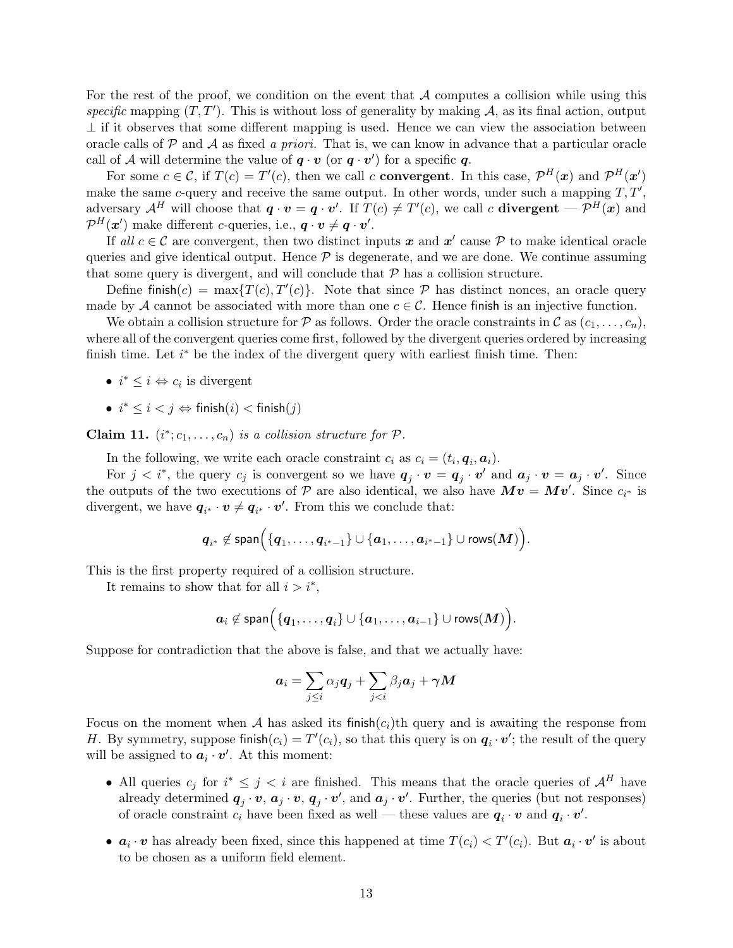For the rest of the proof, we condition on the event that  $A$  computes a collision while using this specific mapping  $(T, T')$ . This is without loss of generality by making A, as its final action, output  $\perp$  if it observes that some different mapping is used. Hence we can view the association between oracle calls of  $P$  and  $A$  as fixed a priori. That is, we can know in advance that a particular oracle call of A will determine the value of  $q \cdot v$  (or  $q \cdot v'$ ) for a specific q.

For some  $c \in \mathcal{C}$ , if  $T(c) = T'(c)$ , then we call c **convergent**. In this case,  $\mathcal{P}^H(x)$  and  $\mathcal{P}^H(x')$ make the same c-query and receive the same output. In other words, under such a mapping  $T, T',$ adversary  $\mathcal{A}^H$  will choose that  $\bm{q} \cdot \bm{v} = \bm{q} \cdot \bm{v}'$ . If  $T(c) \neq T'(c)$ , we call c **divergent** —  $\mathcal{P}^H(\bm{x})$  and  $\mathcal{P}^{H}(\boldsymbol{x}')$  make different c-queries, i.e.,  $\boldsymbol{q} \cdot \boldsymbol{v} \neq \boldsymbol{q} \cdot \boldsymbol{v}'$ .

If all  $c \in \mathcal{C}$  are convergent, then two distinct inputs x and x' cause P to make identical oracle queries and give identical output. Hence  $P$  is degenerate, and we are done. We continue assuming that some query is divergent, and will conclude that  $P$  has a collision structure.

Define finish $(c) = \max\{T(c), T'(c)\}.$  Note that since  $P$  has distinct nonces, an oracle query made by A cannot be associated with more than one  $c \in \mathcal{C}$ . Hence finish is an injective function.

We obtain a collision structure for P as follows. Order the oracle constraints in C as  $(c_1, \ldots, c_n)$ , where all of the convergent queries come first, followed by the divergent queries ordered by increasing finish time. Let  $i^*$  be the index of the divergent query with earliest finish time. Then:

- $i^* \leq i \Leftrightarrow c_i$  is divergent
- $i^* \leq i < j \Leftrightarrow$  finish $(i) <$  finish $(j)$

Claim 11.  $(i^*; c_1, \ldots, c_n)$  is a collision structure for  $P$ .

In the following, we write each oracle constraint  $c_i$  as  $c_i = (t_i, \mathbf{q}_i, \mathbf{a}_i)$ .

For  $j < i^*$ , the query  $c_j$  is convergent so we have  $q_j \cdot v = q_j \cdot v'$  and  $a_j \cdot v = a_j \cdot v'$ . Since the outputs of the two executions of P are also identical, we also have  $Mv = Mv'$ . Since  $c_{i^*}$  is divergent, we have  $q_{i^*} \cdot v \neq q_{i^*} \cdot v'$ . From this we conclude that:

$$
\textit{\textbf{q}}_{i^*} \not\in \textsf{span}\Big(\{\textit{\textbf{q}}_1,\ldots,\textit{\textbf{q}}_{i^*-1}\} \cup \{\textit{\textbf{a}}_1,\ldots,\textit{\textbf{a}}_{i^*-1}\} \cup \textsf{rows}({\boldsymbol{M}})\Big).
$$

This is the first property required of a collision structure.

It remains to show that for all  $i > i^*$ ,

$$
\boldsymbol{a}_i \not\in \mathsf{span}\Big(\{\boldsymbol{q}_1,\ldots,\boldsymbol{q}_i\}\cup \{\boldsymbol{a}_1,\ldots,\boldsymbol{a}_{i-1}\}\cup \mathsf{rows}(\boldsymbol{M})\Big).
$$

Suppose for contradiction that the above is false, and that we actually have:

$$
\bm{a}_i = \sum_{j\leq i} \alpha_j \bm{q}_j + \sum_{j
$$

Focus on the moment when A has asked its finish $(c_i)$ th query and is awaiting the response from H. By symmetry, suppose finish $(c_i) = T'(c_i)$ , so that this query is on  $q_i \cdot v'$ ; the result of the query will be assigned to  $a_i \cdot v'$ . At this moment:

- All queries  $c_j$  for  $i^* \leq j < i$  are finished. This means that the oracle queries of  $\mathcal{A}^H$  have already determined  $q_j \cdot v$ ,  $a_j \cdot v$ ,  $q_j \cdot v'$ , and  $a_j \cdot v'$ . Further, the queries (but not responses) of oracle constraint  $c_i$  have been fixed as well — these values are  $q_i \cdot v$  and  $q_i \cdot v'$ .
- $a_i \cdot v$  has already been fixed, since this happened at time  $T(c_i) < T'(c_i)$ . But  $a_i \cdot v'$  is about to be chosen as a uniform field element.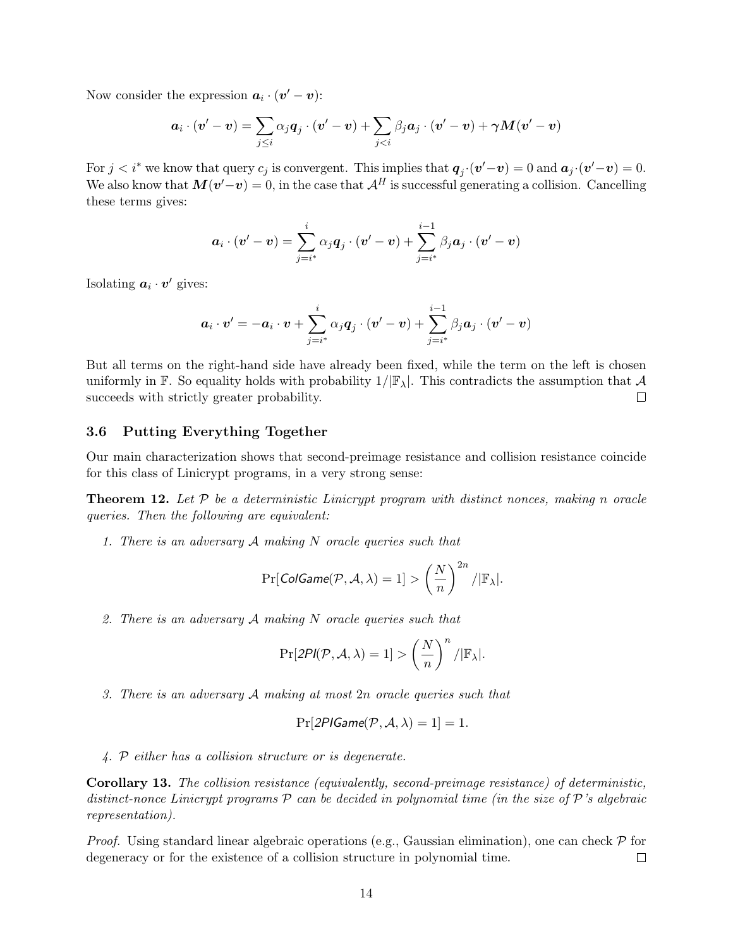Now consider the expression  $a_i \cdot (v'-v)$ :

$$
\boldsymbol{a}_i\cdot(\boldsymbol{v}'-\boldsymbol{v})=\sum_{j\leq i}\alpha_j\boldsymbol{q}_j\cdot(\boldsymbol{v}'-\boldsymbol{v})+\sum_{j
$$

For  $j < i^*$  we know that query  $c_j$  is convergent. This implies that  $q_j \cdot (v'-v) = 0$  and  $a_j \cdot (v'-v) = 0$ . We also know that  $M(v'-v) = 0$ , in the case that  $\mathcal{A}^H$  is successful generating a collision. Cancelling these terms gives:

$$
\boldsymbol{a}_i\cdot(\boldsymbol{v}'-\boldsymbol{v})=\sum_{j=i^*}^i\alpha_j\boldsymbol{q}_j\cdot(\boldsymbol{v}'-\boldsymbol{v})+\sum_{j=i^*}^{i-1}\beta_j\boldsymbol{a}_j\cdot(\boldsymbol{v}'-\boldsymbol{v})
$$

Isolating  $a_i \cdot v'$  gives:

$$
\boldsymbol{a}_i\cdot \boldsymbol{v}' = -\boldsymbol{a}_i\cdot \boldsymbol{v} + \sum_{j=i^*}^{i}\alpha_j \boldsymbol{q}_j \cdot (\boldsymbol{v}'-\boldsymbol{v}) + \sum_{j=i^*}^{i-1}\beta_j \boldsymbol{a}_j \cdot (\boldsymbol{v}'-\boldsymbol{v})
$$

But all terms on the right-hand side have already been fixed, while the term on the left is chosen uniformly in F. So equality holds with probability  $1/|\mathbb{F}_{\lambda}|$ . This contradicts the assumption that A succeeds with strictly greater probability.  $\Box$ 

#### 3.6 Putting Everything Together

Our main characterization shows that second-preimage resistance and collision resistance coincide for this class of Linicrypt programs, in a very strong sense:

**Theorem 12.** Let  $P$  be a deterministic Linicrypt program with distinct nonces, making n oracle queries. Then the following are equivalent:

1. There is an adversary A making N oracle queries such that

$$
\Pr[\text{ColGame}(\mathcal{P}, \mathcal{A}, \lambda) = 1] > \left(\frac{N}{n}\right)^{2n} / |\mathbb{F}_{\lambda}|.
$$

2. There is an adversary A making N oracle queries such that

$$
\Pr[2\text{PI}(\mathcal{P}, \mathcal{A}, \lambda) = 1] > \left(\frac{N}{n}\right)^n / |\mathbb{F}_{\lambda}|.
$$

3. There is an adversary A making at most 2n oracle queries such that

$$
Pr[2PIGame(\mathcal{P}, \mathcal{A}, \lambda) = 1] = 1.
$$

4. P either has a collision structure or is degenerate.

Corollary 13. The collision resistance (equivalently, second-preimage resistance) of deterministic, distinct-nonce Linicrypt programs  $P$  can be decided in polynomial time (in the size of  $P$ 's algebraic representation).

*Proof.* Using standard linear algebraic operations (e.g., Gaussian elimination), one can check  $\mathcal P$  for degeneracy or for the existence of a collision structure in polynomial time.  $\Box$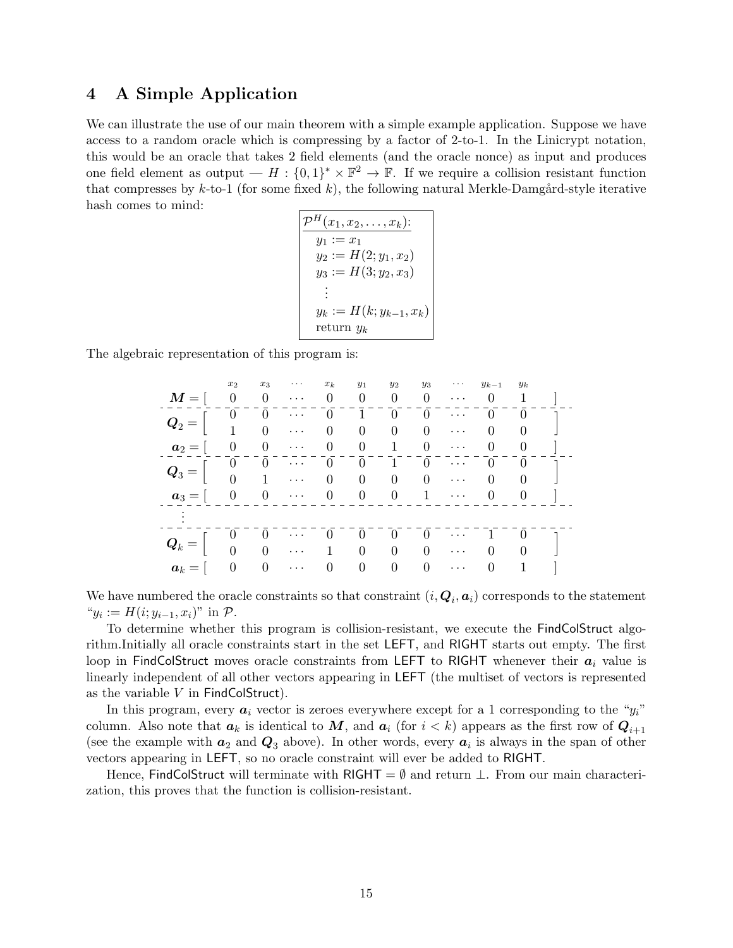# <span id="page-14-0"></span>4 A Simple Application

We can illustrate the use of our main theorem with a simple example application. Suppose we have access to a random oracle which is compressing by a factor of 2-to-1. In the Linicrypt notation, this would be an oracle that takes 2 field elements (and the oracle nonce) as input and produces one field element as output  $-H : \{0,1\}^* \times \mathbb{F}^2 \to \mathbb{F}$ . If we require a collision resistant function that compresses by  $k$ -to-1 (for some fixed k), the following natural Merkle-Damgård-style iterative hash comes to mind:

| $\mathcal{P}^H(x_1,x_2,\ldots,x_k)$ : |
|---------------------------------------|
| $y_1 := x_1$                          |
| $y_2 := H(2; y_1, x_2)$               |
| $y_3 := H(3; y_2, x_3)$               |
|                                       |
| $y_k := H(k; y_{k-1}, x_k)$           |
| return $y_k$                          |

The algebraic representation of this program is:

|                      | $x_2$            | $x_3$                      | $\cdots$                    | $x_k$            | $y_1$            | $y_2$          | $y_3$          | $\cdots$ | $y_{k-1}$      | $y_k$    |  |
|----------------------|------------------|----------------------------|-----------------------------|------------------|------------------|----------------|----------------|----------|----------------|----------|--|
| $M =$                | $\overline{0}$   | $\theta$                   | $\cdots$                    | 0                | 0                | $\theta$       | 0              | $\cdots$ |                |          |  |
| $\boldsymbol{Q}_2 =$ | $\theta$         | $\cup$                     | $\cdots$                    | $\theta$         |                  | $\theta$       | 0              | .        | $\theta$       |          |  |
|                      | $\overline{1}$   | $\overline{0}$             | $\sim$                      | $\overline{0}$   | $\overline{0}$   | $\theta$       | $\Omega$       | $\cdots$ | $\theta$       | $\theta$ |  |
| $a_2 =$              | $\overline{0}$   | $\overline{0}$             | $\ldots$                    | $\overline{0}$   | $\theta$         | 1              | $\overline{0}$ | $\cdots$ | $\theta$       | $\theta$ |  |
| $\boldsymbol{Q}_3 =$ | $\theta$         | $\theta$                   | $\cdots$                    | $\theta$         |                  |                |                | .        |                |          |  |
|                      |                  | $0 \qquad 1 \qquad \cdots$ |                             | $\overline{0}$   | $\boldsymbol{0}$ | $\overline{0}$ | $\theta$       | $\cdots$ | $\theta$       | $\theta$ |  |
| $a_3 =$              | $\overline{0}$   | $\boldsymbol{0}$           | $\sim$ 100 km s $^{-1}$     | $\boldsymbol{0}$ | $\theta$         | $\theta$       | $\mathbf{1}$   | $\cdots$ | $\overline{0}$ |          |  |
|                      |                  |                            |                             |                  |                  |                |                |          |                |          |  |
| $\boldsymbol{Q}_k =$ | U                | U                          | $\cdots$                    | $\cup$           | O                | U              |                | $\cdots$ |                |          |  |
|                      | $\overline{0}$   | $\overline{0}$             | $\sim$                      | $\mathbf{1}$     | $\theta$         | $\overline{0}$ | $\Omega$       | $\cdots$ | $\Omega$       | $\theta$ |  |
| $a_k =$              | $\boldsymbol{0}$ | $\boldsymbol{0}$           | $\sim$ $\sim$ $\sim$ $\sim$ | $\theta$         | $\theta$         | $\overline{0}$ | $\theta$       | $\cdots$ | 0              |          |  |

We have numbered the oracle constraints so that constraint  $(i, \mathbf{Q}_i, \boldsymbol{a}_i)$  corresponds to the statement " $y_i := H(i; y_{i-1}, x_i)$ " in  $\mathcal{P}$ .

To determine whether this program is collision-resistant, we execute the FindColStruct algorithm.Initially all oracle constraints start in the set LEFT, and RIGHT starts out empty. The first loop in FindColStruct moves oracle constraints from LEFT to RIGHT whenever their  $a_i$  value is linearly independent of all other vectors appearing in LEFT (the multiset of vectors is represented as the variable  $V$  in FindColStruct).

In this program, every  $a_i$  vector is zeroes everywhere except for a 1 corresponding to the " $y_i$ " column. Also note that  $a_k$  is identical to M, and  $a_i$  (for  $i < k$ ) appears as the first row of  $Q_{i+1}$ (see the example with  $a_2$  and  $Q_3$  above). In other words, every  $a_i$  is always in the span of other vectors appearing in LEFT, so no oracle constraint will ever be added to RIGHT.

Hence, FindColStruct will terminate with RIGHT =  $\emptyset$  and return  $\bot$ . From our main characterization, this proves that the function is collision-resistant.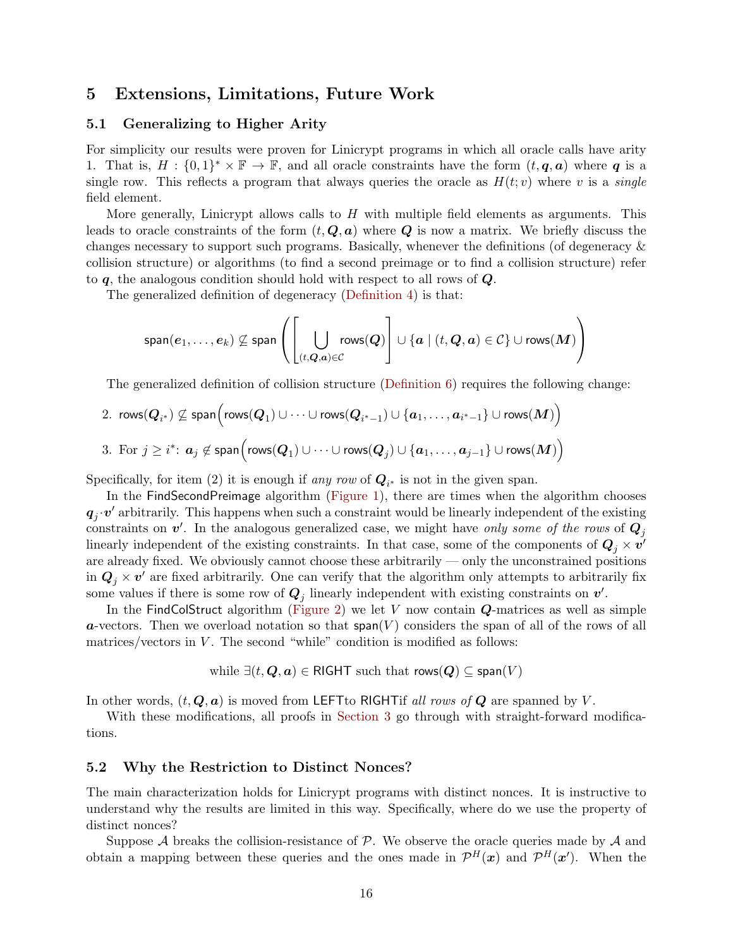## 5 Extensions, Limitations, Future Work

#### <span id="page-15-0"></span>5.1 Generalizing to Higher Arity

For simplicity our results were proven for Linicrypt programs in which all oracle calls have arity 1. That is,  $H: \{0,1\}^* \times \mathbb{F} \to \mathbb{F}$ , and all oracle constraints have the form  $(t, q, a)$  where q is a single row. This reflects a program that always queries the oracle as  $H(t; v)$  where v is a *single* field element.

More generally, Linicrypt allows calls to  $H$  with multiple field elements as arguments. This leads to oracle constraints of the form  $(t, \mathbf{Q}, \mathbf{a})$  where  $\mathbf{Q}$  is now a matrix. We briefly discuss the changes necessary to support such programs. Basically, whenever the definitions (of degeneracy & collision structure) or algorithms (to find a second preimage or to find a collision structure) refer to  $q$ , the analogous condition should hold with respect to all rows of  $Q$ .

The generalized definition of degeneracy [\(Definition 4\)](#page-4-0) is that:

$$
\text{span}(e_1,\ldots,e_k) \not\subseteq \text{span}\left(\left[\bigcup_{(t,\boldsymbol{Q},\boldsymbol{a})\in\mathcal{C}}\text{rows}(\boldsymbol{Q})\right] \cup \{\boldsymbol{a} \mid (t,\boldsymbol{Q},\boldsymbol{a})\in\mathcal{C}\} \cup \text{rows}(\boldsymbol{M})\right)
$$

The generalized definition of collision structure [\(Definition 6\)](#page-6-0) requires the following change:

$$
\begin{aligned} &2. \;\; \mathsf{rows}(\boldsymbol{Q}_{i^*}) \not\subseteq \mathsf{span}\Big(\mathsf{rows}(\boldsymbol{Q}_1) \cup \cdots \cup \mathsf{rows}(\boldsymbol{Q}_{i^*-1}) \cup \{\boldsymbol{a}_1,\ldots,\boldsymbol{a}_{i^*-1}\} \cup \mathsf{rows}(\boldsymbol{M})\Big)\\ &3. \;\; \mathsf{For} \; j \geq i^* \! \colon \boldsymbol{a}_j \not\in \mathsf{span}\Big(\mathsf{rows}(\boldsymbol{Q}_1) \cup \cdots \cup \mathsf{rows}(\boldsymbol{Q}_j) \cup \{\boldsymbol{a}_1,\ldots,\boldsymbol{a}_{j-1}\} \cup \mathsf{rows}(\boldsymbol{M})\Big) \end{aligned}
$$

Specifically, for item (2) it is enough if any row of  $Q_{i^*}$  is not in the given span.

In the FindSecondPreimage algorithm [\(Figure 1\)](#page-8-0), there are times when the algorithm chooses  $q_j \cdot v'$  arbitrarily. This happens when such a constraint would be linearly independent of the existing constraints on  $v'$ . In the analogous generalized case, we might have *only some of the rows* of  $Q_j$ linearly independent of the existing constraints. In that case, some of the components of  $Q_j \times v'$ are already fixed. We obviously cannot choose these arbitrarily — only the unconstrained positions in  $\mathbf{Q}_j \times \mathbf{v}'$  are fixed arbitrarily. One can verify that the algorithm only attempts to arbitrarily fix some values if there is some row of  $Q_j$  linearly independent with existing constraints on  $v'$ .

In the FindColStruct algorithm [\(Figure 2\)](#page-9-0) we let V now contain  $Q$ -matrices as well as simple  $\alpha$ -vectors. Then we overload notation so that span(V) considers the span of all of the rows of all matrices/vectors in  $V$ . The second "while" condition is modified as follows:

while  $\exists (t, Q, a) \in \mathsf{RIGHT}\$  such that  $\mathsf{rows}(Q) \subseteq \mathsf{span}(V)$ 

In other words,  $(t, \mathbf{Q}, \mathbf{a})$  is moved from LEFT to RIGHT if all rows of  $\mathbf{Q}$  are spanned by V.

With these modifications, all proofs in [Section 3](#page-4-1) go through with straight-forward modifications.

#### <span id="page-15-1"></span>5.2 Why the Restriction to Distinct Nonces?

The main characterization holds for Linicrypt programs with distinct nonces. It is instructive to understand why the results are limited in this way. Specifically, where do we use the property of distinct nonces?

Suppose  $A$  breaks the collision-resistance of  $P$ . We observe the oracle queries made by  $A$  and obtain a mapping between these queries and the ones made in  $\mathcal{P}^H(x)$  and  $\mathcal{P}^H(x')$ . When the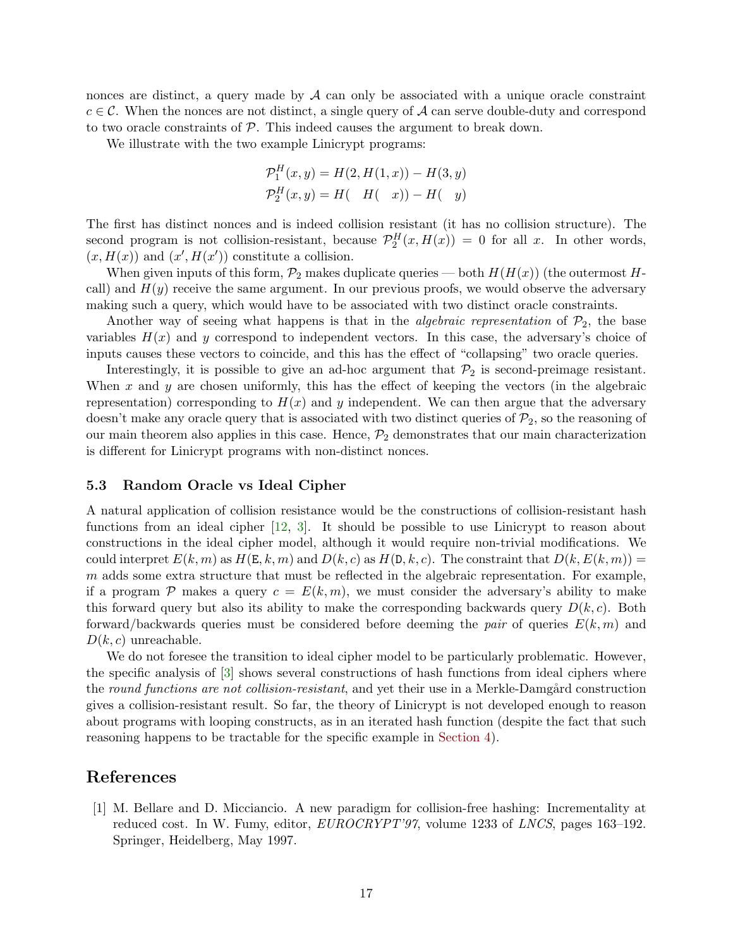nonces are distinct, a query made by  $A$  can only be associated with a unique oracle constraint  $c \in \mathcal{C}$ . When the nonces are not distinct, a single query of  $\mathcal A$  can serve double-duty and correspond to two oracle constraints of P. This indeed causes the argument to break down.

We illustrate with the two example Linicrypt programs:

$$
\mathcal{P}_1^H(x, y) = H(2, H(1, x)) - H(3, y) \n\mathcal{P}_2^H(x, y) = H(-H(-x)) - H(-y)
$$

The first has distinct nonces and is indeed collision resistant (it has no collision structure). The second program is not collision-resistant, because  $\mathcal{P}_2^H(x,H(x)) = 0$  for all x. In other words,  $(x, H(x))$  and  $(x', H(x'))$  constitute a collision.

When given inputs of this form,  $\mathcal{P}_2$  makes duplicate queries — both  $H(H(x))$  (the outermost Hcall) and  $H(y)$  receive the same argument. In our previous proofs, we would observe the adversary making such a query, which would have to be associated with two distinct oracle constraints.

Another way of seeing what happens is that in the *algebraic representation* of  $\mathcal{P}_2$ , the base variables  $H(x)$  and y correspond to independent vectors. In this case, the adversary's choice of inputs causes these vectors to coincide, and this has the effect of "collapsing" two oracle queries.

Interestingly, it is possible to give an ad-hoc argument that  $P_2$  is second-preimage resistant. When  $x$  and  $y$  are chosen uniformly, this has the effect of keeping the vectors (in the algebraic representation) corresponding to  $H(x)$  and y independent. We can then argue that the adversary doesn't make any oracle query that is associated with two distinct queries of  $\mathcal{P}_2$ , so the reasoning of our main theorem also applies in this case. Hence,  $\mathcal{P}_2$  demonstrates that our main characterization is different for Linicrypt programs with non-distinct nonces.

#### <span id="page-16-1"></span>5.3 Random Oracle vs Ideal Cipher

A natural application of collision resistance would be the constructions of collision-resistant hash functions from an ideal cipher [\[12,](#page-17-10) [3\]](#page-17-9). It should be possible to use Linicrypt to reason about constructions in the ideal cipher model, although it would require non-trivial modifications. We could interpret  $E(k, m)$  as  $H(E, k, m)$  and  $D(k, c)$  as  $H(D, k, c)$ . The constraint that  $D(k, E(k, m)) =$ m adds some extra structure that must be reflected in the algebraic representation. For example, if a program P makes a query  $c = E(k, m)$ , we must consider the adversary's ability to make this forward query but also its ability to make the corresponding backwards query  $D(k, c)$ . Both forward/backwards queries must be considered before deeming the *pair* of queries  $E(k, m)$  and  $D(k, c)$  unreachable.

We do not foresee the transition to ideal cipher model to be particularly problematic. However, the specific analysis of [\[3\]](#page-17-9) shows several constructions of hash functions from ideal ciphers where the round functions are not collision-resistant, and yet their use in a Merkle-Damgård construction gives a collision-resistant result. So far, the theory of Linicrypt is not developed enough to reason about programs with looping constructs, as in an iterated hash function (despite the fact that such reasoning happens to be tractable for the specific example in [Section 4\)](#page-14-0).

## References

<span id="page-16-0"></span>[1] M. Bellare and D. Micciancio. A new paradigm for collision-free hashing: Incrementality at reduced cost. In W. Fumy, editor, EUROCRYPT'97, volume 1233 of LNCS, pages 163–192. Springer, Heidelberg, May 1997.